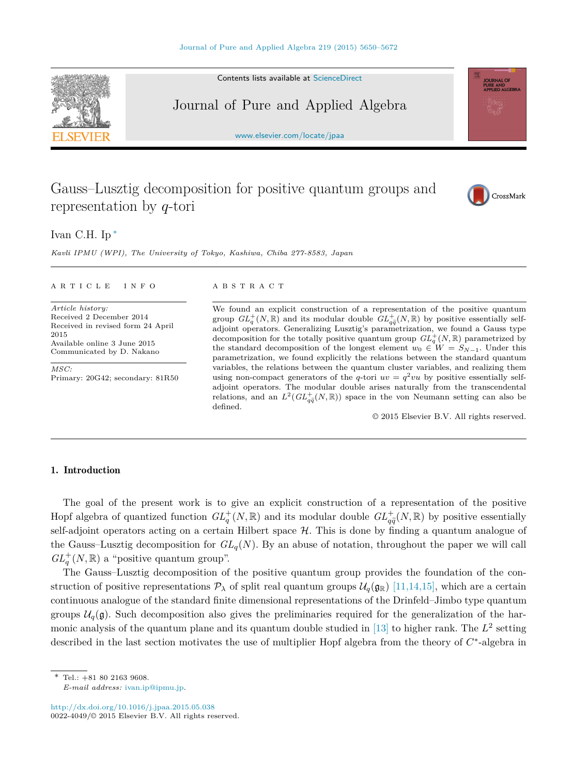Contents lists available at [ScienceDirect](http://www.ScienceDirect.com/)

Journal of Pure and Applied Algebra

[www.elsevier.com/locate/jpaa](http://www.elsevier.com/locate/jpaa)

# Gauss–Lusztig decomposition for positive quantum groups and representation by *q*-tori



URNAL OF PURE AND<br>APPLIED ALGEBRA

Ivan C.H. Ip ∗

*Kavli IPMU (WPI), The University of Tokyo, Kashiwa, Chiba 277-8583, Japan*

### A R T I C L E I N F O A B S T R A C T

*Article history:* Received 2 December 2014 Received in revised form 24 April 2015 Available online 3 June 2015 Communicated by D. Nakano

*MSC:* Primary: 20G42; secondary: 81R50

We found an explicit construction of a representation of the positive quantum group  $GL_q^+(N,\mathbb{R})$  and its modular double  $GL_{q\tilde{q}}^+(N,\mathbb{R})$  by positive essentially self $q_{q\tilde{q}}(x, \mathbb{R})$  and its modular double  $\omega_{q\tilde{q}}(x, \mathbb{R})$  by positive essentially senable displaced by  $q_{\tilde{q}}(x, \mathbb{R})$  by positive essentially sendecomposition for the totally positive quantum group  $GL_q^+(N, \mathbb{R})$  parametrized by the standard decomposition of the longest element  $w_0 \in W = S_{N-1}$ . Under this parametrization, we found explicitly the relations between the standard quantum variables, the relations between the quantum cluster variables, and realizing them using non-compact generators of the *q*-tori  $uv = q^2vu$  by positive essentially selfadjoint operators. The modular double arises naturally from the transcendental relations, and an  $L^2(GL^+_{q\tilde{q}}(N,\mathbb{R}))$  space in the von Neumann setting can also be defined defined.

© 2015 Elsevier B.V. All rights reserved.

# 1. Introduction

The goal of the present work is to give an explicit construction of a representation of the positive Hopf algebra of quantized function  $GL_q^+(\mathbb{N}, \mathbb{R})$  and its modular double  $GL_q^+(\mathbb{N}, \mathbb{R})$  by positive essentially self-adjoint operators acting on a certain Hilbert space  $H$ . This is done by finding a quantum analogue of the Gauss–Lusztig decomposition for  $GL_q(N)$ . By an abuse of notation, throughout the paper we will call  $GL_q^+(N,\mathbb{R})$  a "positive quantum group".

The Gauss–Lusztig decomposition of the positive quantum group provides the foundation of the construction of positive representations  $\mathcal{P}_{\lambda}$  of split real quantum groups  $\mathcal{U}_q(\mathfrak{g}_{\mathbb{R}})$  [\[11,14,15\],](#page-21-0) which are a certain continuous analogue of the standard finite dimensional representations of the Drinfeld–Jimbo type quantum groups  $\mathcal{U}_q(\mathfrak{g})$ . Such decomposition also gives the preliminaries required for the generalization of the harmonic analysis of the quantum plane and its quantum double studied in  $[13]$  to higher rank. The  $L^2$  setting described in the last section motivates the use of multiplier Hopf algebra from the theory of *C*∗-algebra in

\* Tel.: +81 80 2163 9608. *E-mail address:* [ivan.ip@ipmu.jp.](mailto:ivan.ip@ipmu.jp)

<http://dx.doi.org/10.1016/j.jpaa.2015.05.038>  $0022-4049$ / $\odot$  2015 Elsevier B.V. All rights reserved.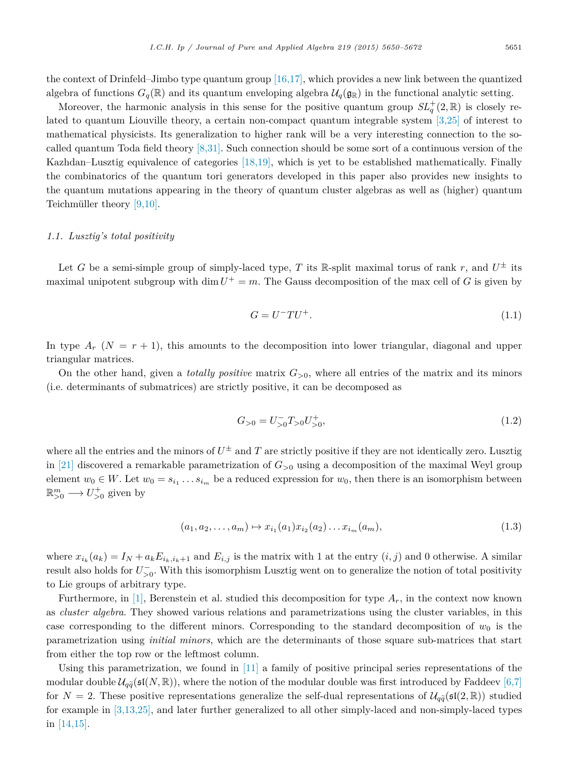the context of Drinfeld–Jimbo type quantum group [\[16,17\],](#page-22-0) which provides a new link between the quantized algebra of functions  $G_q(\mathbb{R})$  and its quantum enveloping algebra  $\mathcal{U}_q(\mathfrak{g}_{\mathbb{R}})$  in the functional analytic setting.

Moreover, the harmonic analysis in this sense for the positive quantum group  $SL_q^+(2,\mathbb{R})$  is closely related to quantum Liouville theory, a certain non-compact quantum integrable system [\[3,25\]](#page-21-0) of interest to mathematical physicists. Its generalization to higher rank will be a very interesting connection to the socalled quantum Toda field theory [\[8,31\].](#page-21-0) Such connection should be some sort of a continuous version of the Kazhdan–Lusztig equivalence of categories [\[18,19\],](#page-22-0) which is yet to be established mathematically. Finally the combinatorics of the quantum tori generators developed in this paper also provides new insights to the quantum mutations appearing in the theory of quantum cluster algebras as well as (higher) quantum Teichmüller theory [\[9,10\].](#page-21-0)

# *1.1. Lusztig's total positivity*

Let *G* be a semi-simple group of simply-laced type, *T* its R-split maximal torus of rank *r*, and  $U^{\pm}$  its maximal unipotent subgroup with dim  $U^+ = m$ . The Gauss decomposition of the max cell of *G* is given by

$$
G = U^- T U^+.
$$
\n
$$
(1.1)
$$

In type  $A_r$  ( $N = r + 1$ ), this amounts to the decomposition into lower triangular, diagonal and upper triangular matrices.

On the other hand, given a *totally positive* matrix  $G_{>0}$ , where all entries of the matrix and its minors (i.e. determinants of submatrices) are strictly positive, it can be decomposed as

$$
G_{>0} = U_{>0}^- T_{>0} U_{>0}^+, \tag{1.2}
$$

where all the entries and the minors of  $U^{\pm}$  and *T* are strictly positive if they are not identically zero. Lusztig in [\[21\]](#page-22-0) discovered a remarkable parametrization of  $G_{>0}$  using a decomposition of the maximal Weyl group element  $w_0 \in W$ . Let  $w_0 = s_{i_1} \ldots s_{i_m}$  be a reduced expression for  $w_0$ , then there is an isomorphism between  $\mathbb{R}^m_{>0} \longrightarrow U^+_{>0}$  given by

$$
(a_1, a_2, \dots, a_m) \mapsto x_{i_1}(a_1)x_{i_2}(a_2)\dots x_{i_m}(a_m), \tag{1.3}
$$

where  $x_{i_k}(a_k) = I_N + a_k E_{i_k, i_k+1}$  and  $E_{i,j}$  is the matrix with 1 at the entry  $(i, j)$  and 0 otherwise. A similar result also holds for  $U_{>0}^-$ . With this isomorphism Lusztig went on to generalize the notion of total positivity to Lie groups of arbitrary type.

Furthermore, in [\[1\],](#page-21-0) Berenstein et al. studied this decomposition for type *Ar*, in the context now known as *cluster algebra*. They showed various relations and parametrizations using the cluster variables, in this case corresponding to the different minors. Corresponding to the standard decomposition of  $w_0$  is the parametrization using *initial minors*, which are the determinants of those square sub-matrices that start from either the top row or the leftmost column.

Using this parametrization, we found in  $[11]$  a family of positive principal series representations of the modular double  $\mathcal{U}_{q\bar{q}}(\mathfrak{sl}(N,\mathbb{R}))$ , where the notion of the modular double was first introduced by Faddeev [\[6,7\]](#page-21-0) for  $N = 2$ . These positive representations generalize the self-dual representations of  $\mathcal{U}_{q\tilde{q}}(\mathfrak{sl}(2,\mathbb{R}))$  studied for example in [\[3,13,25\],](#page-21-0) and later further generalized to all other simply-laced and non-simply-laced types in [\[14,15\].](#page-21-0)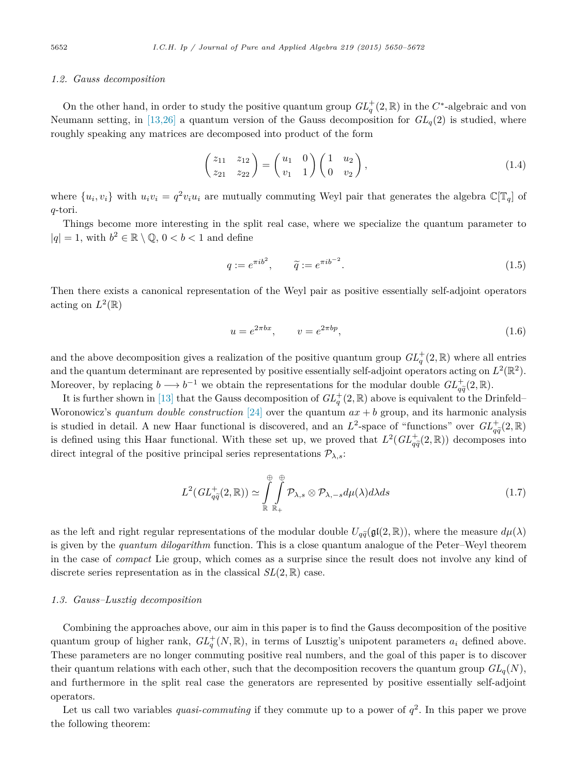# <span id="page-2-0"></span>*1.2. Gauss decomposition*

On the other hand, in order to study the positive quantum group  $GL_q^+(2,\mathbb{R})$  in the  $C^*$ -algebraic and von Neumann setting, in [\[13,26\]](#page-21-0) a quantum version of the Gauss decomposition for  $GL_q(2)$  is studied, where roughly speaking any matrices are decomposed into product of the form

$$
\begin{pmatrix} z_{11} & z_{12} \\ z_{21} & z_{22} \end{pmatrix} = \begin{pmatrix} u_1 & 0 \\ v_1 & 1 \end{pmatrix} \begin{pmatrix} 1 & u_2 \\ 0 & v_2 \end{pmatrix},
$$
\n(1.4)

where  $\{u_i, v_i\}$  with  $u_i v_i = q^2 v_i u_i$  are mutually commuting Weyl pair that generates the algebra  $\mathbb{C}[\mathbb{T}_q]$  of *q*-tori.

Things become more interesting in the split real case, where we specialize the quantum parameter to  $|q| = 1$ , with  $b^2 \in \mathbb{R} \setminus \mathbb{Q}$ ,  $0 < b < 1$  and define

$$
q := e^{\pi i b^2}, \qquad \tilde{q} := e^{\pi i b^{-2}}.
$$
\n
$$
(1.5)
$$

Then there exists a canonical representation of the Weyl pair as positive essentially self-adjoint operators acting on  $L^2(\mathbb{R})$ 

$$
u = e^{2\pi bx}, \qquad v = e^{2\pi bp}, \tag{1.6}
$$

and the above decomposition gives a realization of the positive quantum group  $GL_q^+(2,\mathbb{R})$  where all entries and the quantum determinant are represented by positive essentially self-adjoint operators acting on  $L^2(\mathbb{R}^2)$ . Moreover, by replacing  $b \longrightarrow b^{-1}$  we obtain the representations for the modular double  $GL_{q\tilde{q}}^+(2,\mathbb{R})$ .

It is further shown in [\[13\]](#page-21-0) that the Gauss decomposition of  $GL_q^+(2,\mathbb{R})$  above is equivalent to the Drinfeld– Woronowicz's *quantum double construction* [\[24\]](#page-22-0) over the quantum *ax* + *b* group, and its harmonic analysis is studied in detail. A new Haar functional is discovered, and an  $L^2$ -space of "functions" over  $GL_{\tilde{a}}^+(2,\mathbb{R})$ is defined using this Haar functional. With these set up, we proved that  $L^2(GL_{q\tilde{q}}^+(2,\mathbb{R}))$  decomposes into<br>direct integral of the positive principal exite proposalities  $\mathcal{R}$ . direct integral of the positive principal series representations  $\mathcal{P}_{\lambda,s}$ :

$$
L^2(GL_{q\widetilde{q}}^+(2,\mathbb{R})) \simeq \int\limits_{\mathbb{R}}^{\oplus} \int\limits_{\mathbb{R}_+}^{\oplus} \mathcal{P}_{\lambda,s} \otimes \mathcal{P}_{\lambda,-s} d\mu(\lambda) d\lambda ds \tag{1.7}
$$

as the left and right regular representations of the modular double  $U_{q\tilde{q}}(\mathfrak{gl}(2,\mathbb{R}))$ , where the measure  $d\mu(\lambda)$ is given by the *quantum dilogarithm* function. This is a close quantum analogue of the Peter–Weyl theorem in the case of *compact* Lie group, which comes as a surprise since the result does not involve any kind of discrete series representation as in the classical *SL*(2*,* R) case.

# *1.3. Gauss–Lusztig decomposition*

Combining the approaches above, our aim in this paper is to find the Gauss decomposition of the positive quantum group of higher rank,  $GL_q^+(N,\mathbb{R})$ , in terms of Lusztig's unipotent parameters  $a_i$  defined above. These parameters are no longer commuting positive real numbers, and the goal of this paper is to discover their quantum relations with each other, such that the decomposition recovers the quantum group  $GL_q(N)$ , and furthermore in the split real case the generators are represented by positive essentially self-adjoint operators.

Let us call two variables *quasi-commuting* if they commute up to a power of  $q^2$ . In this paper we prove the following theorem: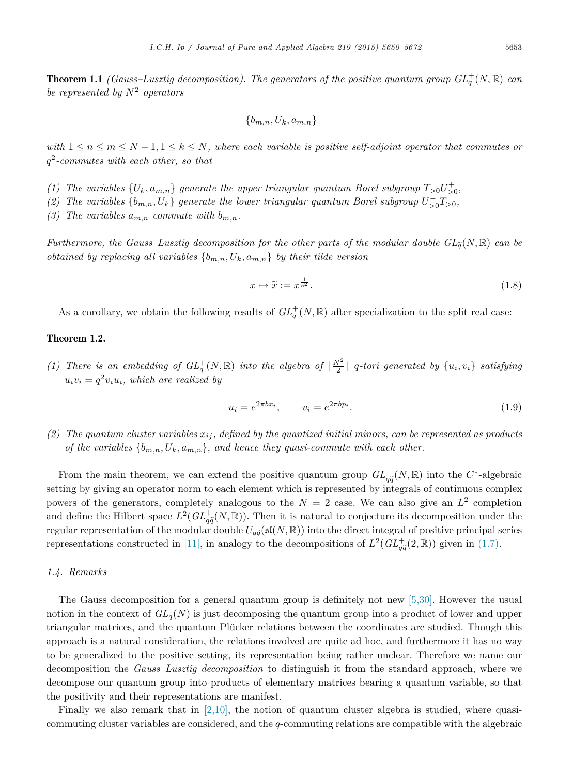**Theorem 1.1** *(Gauss–Lusztig decomposition). The generators of the positive quantum group*  $GL_q^+(N, \mathbb{R})$  *can be represented by N*<sup>2</sup> *operators*

$$
\{b_{m,n},U_k,a_{m,n}\}
$$

with  $1 \leq n \leq m \leq N-1, 1 \leq k \leq N$ , where each variable is positive self-adjoint operator that commutes or *q*<sup>2</sup>*-commutes with each other, so that*

- (1) The variables  $\{U_k, a_{m,n}\}$  generate the upper triangular quantum Borel subgroup  $T_{>0}U_{>0}^+$ ,
- *(2)* The variables  $\{b_{m,n}, U_k\}$  generate the lower triangular quantum Borel subgroup  $U_{>0}^-T_{>0}$ ,
- (3) The variables  $a_{m,n}$  *commute with*  $b_{m,n}$ *.*

*Furthermore, the Gauss–Lusztig decomposition for the other parts of the modular double*  $GL_{\tilde{q}}(N, \mathbb{R})$  *can be obtained by replacing all variables*  ${b_{m,n}, U_k, a_{m,n}}$  *by their tilde version* 

$$
x \mapsto \widetilde{x} := x^{\frac{1}{b^2}}.\tag{1.8}
$$

As a corollary, we obtain the following results of  $GL_q^+(N, \mathbb{R})$  after specialization to the split real case:

# Theorem 1.2.

(1) There is an embedding of  $GL_q^+(N,\mathbb{R})$  into the algebra of  $\lfloor \frac{N^2}{2} \rfloor$  q-tori generated by  $\{u_i, v_i\}$  satisfying  $u_i v_i = q^2 v_i u_i$ , which are realized by

$$
u_i = e^{2\pi bx_i}, \qquad v_i = e^{2\pi bp_i}.
$$
\n(1.9)

(2) The quantum cluster variables  $x_{ij}$ , defined by the quantized initial minors, can be represented as products *of* the variables  $\{b_{m,n}, U_k, a_{m,n}\}$ *, and hence they quasi-commute with each other.* 

From the main theorem, we can extend the positive quantum group  $GL_{\tilde{a}}^+(N,\mathbb{R})$  into the  $C^*$ -algebraic From the main theorem, we can extend the positive quantum group  $\sigma_{q\tilde{q}}(N, \mathbb{R})$  mod the  $C$ -algebraic setting by giving an operator norm to each element which is represented by integrals of continuous complex powers of the generators, completely analogous to the  $N = 2$  case. We can also give an  $L^2$  completion and define the Hilbert space  $L^2(GL^+_{q\bar{q}}(N,\mathbb{R}))$ . Then it is natural to conjecture its decomposition under the regular representation of the modular double  $U_{q\tilde{q}}(\mathfrak{sl}(N,\mathbb{R}))$  into the direct integral of positive principal series representations constructed in [\[11\],](#page-21-0) in analogy to the decompositions of  $L^2(GL_{q\tilde{q}}^+(2,\mathbb{R}))$  given in [\(1.7\).](#page-2-0)

# *1.4. Remarks*

The Gauss decomposition for a general quantum group is definitely not new [\[5,30\].](#page-21-0) However the usual notion in the context of  $GL_q(N)$  is just decomposing the quantum group into a product of lower and upper triangular matrices, and the quantum Plücker relations between the coordinates are studied. Though this approach is a natural consideration, the relations involved are quite ad hoc, and furthermore it has no way to be generalized to the positive setting, its representation being rather unclear. Therefore we name our decomposition the *Gauss–Lusztig decomposition* to distinguish it from the standard approach, where we decompose our quantum group into products of elementary matrices bearing a quantum variable, so that the positivity and their representations are manifest.

Finally we also remark that in  $(2,10)$ , the notion of quantum cluster algebra is studied, where quasicommuting cluster variables are considered, and the *q*-commuting relations are compatible with the algebraic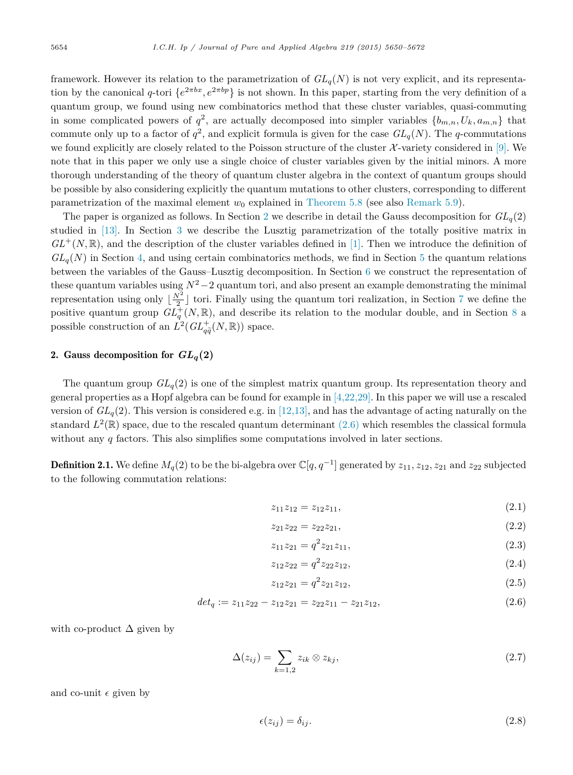<span id="page-4-0"></span>framework. However its relation to the parametrization of  $GL_q(N)$  is not very explicit, and its representation by the canonical *q*-tori  $\{e^{2\pi bx}, e^{2\pi bp}\}\$  is not shown. In this paper, starting from the very definition of a quantum group, we found using new combinatorics method that these cluster variables, quasi-commuting in some complicated powers of  $q^2$ , are actually decomposed into simpler variables  $\{b_{m,n}, U_k, a_{m,n}\}\$  that commute only up to a factor of  $q^2$ , and explicit formula is given for the case  $GL_q(N)$ . The *q*-commutations we found explicitly are closely related to the Poisson structure of the cluster  $\mathcal{X}\text{-variety}$  considered in [\[9\].](#page-21-0) We note that in this paper we only use a single choice of cluster variables given by the initial minors. A more thorough understanding of the theory of quantum cluster algebra in the context of quantum groups should be possible by also considering explicitly the quantum mutations to other clusters, corresponding to different parametrization of the maximal element  $w_0$  explained in [Theorem 5.8](#page-14-0) (see also [Remark 5.9\)](#page-14-0).

The paper is organized as follows. In Section 2 we describe in detail the Gauss decomposition for  $GL_q(2)$ studied in [\[13\].](#page-21-0) In Section [3](#page-6-0) we describe the Lusztig parametrization of the totally positive matrix in  $GL^{+}(N,\mathbb{R})$ , and the description of the cluster variables defined in [\[1\].](#page-21-0) Then we introduce the definition of  $GL_q(N)$  in Section [4,](#page-7-0) and using certain combinatorics methods, we find in Section [5](#page-9-0) the quantum relations between the variables of the Gauss–Lusztig decomposition. In Section [6](#page-15-0) we construct the representation of these quantum variables using  $N^2-2$  quantum tori, and also present an example demonstrating the minimal representation using only  $\lfloor \frac{N^2}{2} \rfloor$  tori. Finally using the quantum tori realization, in Section [7](#page-17-0) we define the positive quantum group  $GL_q^+(N,\mathbb{R})$ , and describe its relation to the modular double, and in Section [8](#page-19-0) a possible construction of an  $\hat{L}^2(GL_{q\tilde{q}}^+(N,\mathbb{R}))$  space.

# 2. Gauss decomposition for  $GL_q(2)$

The quantum group *GLq*(2) is one of the simplest matrix quantum group. Its representation theory and general properties as a Hopf algebra can be found for example in [\[4,22,29\].](#page-21-0) In this paper we will use a rescaled version of  $GL_q(2)$ . This version is considered e.g. in [\[12,13\],](#page-21-0) and has the advantage of acting naturally on the standard  $L^2(\mathbb{R})$  space, due to the rescaled quantum determinant (2.6) which resembles the classical formula without any *q* factors. This also simplifies some computations involved in later sections.

**Definition 2.1.** We define  $M_q(2)$  to be the bi-algebra over  $\mathbb{C}[q, q^{-1}]$  generated by  $z_{11}, z_{12}, z_{21}$  and  $z_{22}$  subjected to the following commutation relations:

$$
z_{11}z_{12} = z_{12}z_{11}, \t\t(2.1)
$$

$$
z_{21}z_{22} = z_{22}z_{21}, \t\t(2.2)
$$

$$
z_{11}z_{21} = q^2 z_{21}z_{11}, \t\t(2.3)
$$

$$
z_{12}z_{22} = q^2 z_{22}z_{12}, \t\t(2.4)
$$

$$
z_{12}z_{21} = q^2 z_{21} z_{12}, \t\t(2.5)
$$

$$
det_q := z_{11}z_{22} - z_{12}z_{21} = z_{22}z_{11} - z_{21}z_{12}, \qquad (2.6)
$$

with co-product  $\Delta$  given by

$$
\Delta(z_{ij}) = \sum_{k=1,2} z_{ik} \otimes z_{kj},\tag{2.7}
$$

and co-unit  $\epsilon$  given by

$$
\epsilon(z_{ij}) = \delta_{ij}.\tag{2.8}
$$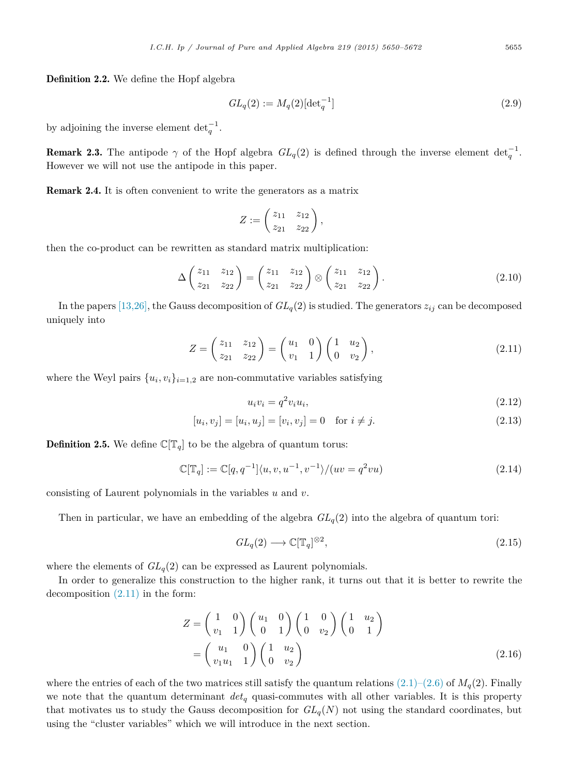<span id="page-5-0"></span>Definition 2.2. We define the Hopf algebra

$$
GL_q(2) := M_q(2)[\det_q^{-1}]
$$
\n(2.9)

by adjoining the inverse element  $det<sub>q</sub><sup>-1</sup>$ .

**Remark 2.3.** The antipode  $\gamma$  of the Hopf algebra  $GL_q(2)$  is defined through the inverse element  $det_q^{-1}$ . However we will not use the antipode in this paper.

Remark 2.4. It is often convenient to write the generators as a matrix

$$
Z:=\begin{pmatrix}z_{11}&z_{12}\\z_{21}&z_{22}\end{pmatrix},\,
$$

then the co-product can be rewritten as standard matrix multiplication:

$$
\Delta \begin{pmatrix} z_{11} & z_{12} \\ z_{21} & z_{22} \end{pmatrix} = \begin{pmatrix} z_{11} & z_{12} \\ z_{21} & z_{22} \end{pmatrix} \otimes \begin{pmatrix} z_{11} & z_{12} \\ z_{21} & z_{22} \end{pmatrix}.
$$
 (2.10)

In the papers [\[13,26\],](#page-21-0) the Gauss decomposition of  $GL_q(2)$  is studied. The generators  $z_{ij}$  can be decomposed uniquely into

$$
Z = \begin{pmatrix} z_{11} & z_{12} \\ z_{21} & z_{22} \end{pmatrix} = \begin{pmatrix} u_1 & 0 \\ v_1 & 1 \end{pmatrix} \begin{pmatrix} 1 & u_2 \\ 0 & v_2 \end{pmatrix},
$$
(2.11)

where the Weyl pairs  $\{u_i, v_i\}_{i=1,2}$  are non-commutative variables satisfying

$$
u_i v_i = q^2 v_i u_i,\tag{2.12}
$$

$$
[u_i, v_j] = [u_i, u_j] = [v_i, v_j] = 0 \quad \text{for } i \neq j.
$$
\n(2.13)

**Definition 2.5.** We define  $\mathbb{C}[\mathbb{T}_q]$  to be the algebra of quantum torus:

$$
\mathbb{C}[\mathbb{T}_q] := \mathbb{C}[q, q^{-1}]\langle u, v, u^{-1}, v^{-1}\rangle / (uv = q^2 vu)
$$
\n(2.14)

consisting of Laurent polynomials in the variables *u* and *v*.

Then in particular, we have an embedding of the algebra  $GL_q(2)$  into the algebra of quantum tori:

$$
GL_q(2) \longrightarrow \mathbb{C}[\mathbb{T}_q]^{\otimes 2},\tag{2.15}
$$

where the elements of  $GL_q(2)$  can be expressed as Laurent polynomials.

In order to generalize this construction to the higher rank, it turns out that it is better to rewrite the decomposition (2.11) in the form:

$$
Z = \begin{pmatrix} 1 & 0 \\ v_1 & 1 \end{pmatrix} \begin{pmatrix} u_1 & 0 \\ 0 & 1 \end{pmatrix} \begin{pmatrix} 1 & 0 \\ 0 & v_2 \end{pmatrix} \begin{pmatrix} 1 & u_2 \\ 0 & 1 \end{pmatrix}
$$

$$
= \begin{pmatrix} u_1 & 0 \\ v_1u_1 & 1 \end{pmatrix} \begin{pmatrix} 1 & u_2 \\ 0 & v_2 \end{pmatrix}
$$
(2.16)

where the entries of each of the two matrices still satisfy the quantum relations  $(2.1)-(2.6)$  of  $M_q(2)$ . Finally we note that the quantum determinant *det<sup>q</sup>* quasi-commutes with all other variables. It is this property that motivates us to study the Gauss decomposition for  $GL_q(N)$  not using the standard coordinates, but using the "cluster variables" which we will introduce in the next section.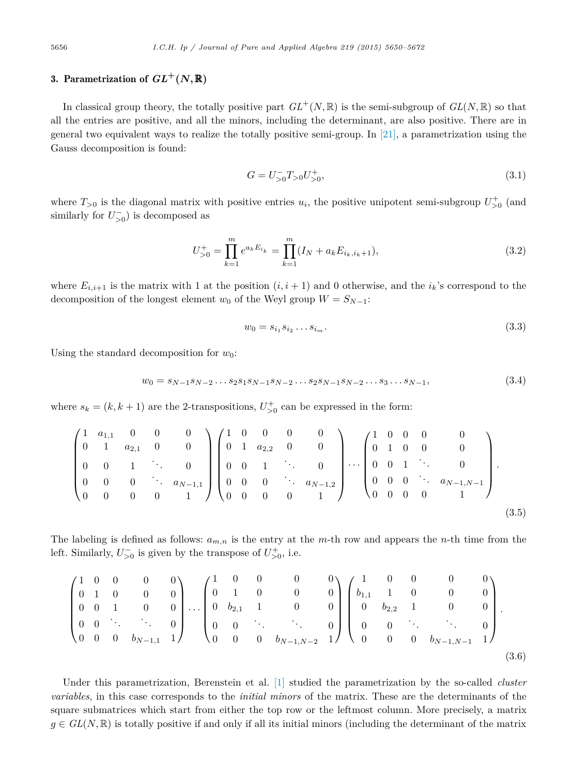# <span id="page-6-0"></span>3. Parametrization of  $GL^+(N,\mathbb{R})$

In classical group theory, the totally positive part  $GL^+(N, \mathbb{R})$  is the semi-subgroup of  $GL(N, \mathbb{R})$  so that all the entries are positive, and all the minors, including the determinant, are also positive. There are in general two equivalent ways to realize the totally positive semi-group. In  $[21]$ , a parametrization using the Gauss decomposition is found:

$$
G = U_{>0}^- T_{>0} U_{>0}^+, \tag{3.1}
$$

where  $T_{>0}$  is the diagonal matrix with positive entries  $u_i$ , the positive unipotent semi-subgroup  $U_{>0}^+$  (and similarly for  $U_{>0}^{-}$ ) is decomposed as

$$
U_{>0}^{+} = \prod_{k=1}^{m} e^{a_k E_{i_k}} = \prod_{k=1}^{m} (I_N + a_k E_{i_k, i_k+1}),
$$
\n(3.2)

where  $E_{i,i+1}$  is the matrix with 1 at the position  $(i, i + 1)$  and 0 otherwise, and the  $i_k$ 's correspond to the decomposition of the longest element  $w_0$  of the Weyl group  $W = S_{N-1}$ :

$$
w_0 = s_{i_1} s_{i_2} \dots s_{i_m}.\tag{3.3}
$$

Using the standard decomposition for  $w_0$ :

$$
w_0 = s_{N-1}s_{N-2}\dots s_2s_1s_{N-1}s_{N-2}\dots s_2s_{N-1}s_{N-2}\dots s_3\dots s_{N-1},\tag{3.4}
$$

where  $s_k = (k, k + 1)$  are the 2-transpositions,  $U_{>0}^+$  can be expressed in the form:

$$
\begin{pmatrix} 1 & a_{1,1} & 0 & 0 & 0 \ 0 & 1 & a_{2,1} & 0 & 0 \ 0 & 0 & 1 & \cdots & 0 \ 0 & 0 & 0 & \cdots & a_{N-1,1} \ 0 & 0 & 0 & 0 & 1 \end{pmatrix} \begin{pmatrix} 1 & 0 & 0 & 0 & 0 \ 0 & 1 & a_{2,2} & 0 & 0 \ 0 & 0 & 1 & \cdots & 0 \ 0 & 0 & 0 & \cdots & a_{N-1,2} \ 0 & 0 & 0 & 0 & 1 \end{pmatrix} \cdots \begin{pmatrix} 1 & 0 & 0 & 0 & 0 \ 0 & 1 & 0 & 0 & 0 \ 0 & 0 & 1 & \cdots & 0 \ 0 & 0 & 0 & 0 & 1 \end{pmatrix}.
$$
\n
$$
(3.5)
$$

The labeling is defined as follows: *am,n* is the entry at the *m*-th row and appears the *n*-th time from the left. Similarly,  $U_{>0}^-$  is given by the transpose of  $U_{>0}^+$ , i.e.

$$
\begin{pmatrix}\n1 & 0 & 0 & 0 & 0 \\
0 & 1 & 0 & 0 & 0 \\
0 & 0 & 1 & 0 & 0 \\
0 & 0 & \ddots & \ddots & 0 \\
0 & 0 & 0 & b_{N-1,1} & 1\n\end{pmatrix}\n\ldots\n\begin{pmatrix}\n1 & 0 & 0 & 0 & 0 \\
0 & 1 & 0 & 0 & 0 \\
0 & b_{2,1} & 1 & 0 & 0 \\
0 & 0 & \ddots & \ddots & 0 \\
0 & 0 & 0 & b_{N-1,N-2} & 1\n\end{pmatrix}\n\begin{pmatrix}\n1 & 0 & 0 & 0 & 0 \\
b_{1,1} & 1 & 0 & 0 & 0 \\
0 & b_{2,2} & 1 & 0 & 0 \\
0 & 0 & \ddots & \ddots & 0 \\
0 & 0 & 0 & b_{N-1,N-1} & 1\n\end{pmatrix}.
$$
\n(3.6)

Under this parametrization, Berenstein et al. [\[1\]](#page-21-0) studied the parametrization by the so-called *cluster variables*, in this case corresponds to the *initial minors* of the matrix. These are the determinants of the square submatrices which start from either the top row or the leftmost column. More precisely, a matrix  $g \in GL(N, \mathbb{R})$  is totally positive if and only if all its initial minors (including the determinant of the matrix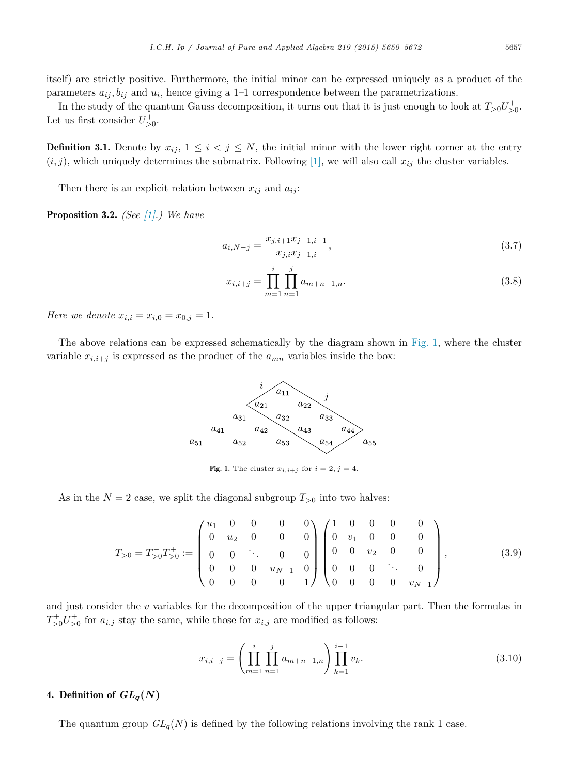<span id="page-7-0"></span>itself) are strictly positive. Furthermore, the initial minor can be expressed uniquely as a product of the parameters  $a_{ij}$ ,  $b_{ij}$  and  $u_i$ , hence giving a 1–1 correspondence between the parametrizations.

In the study of the quantum Gauss decomposition, it turns out that it is just enough to look at  $T_{>0}U_{>0}^+$ . Let us first consider  $U_{>0}^+$ .

**Definition 3.1.** Denote by  $x_{ij}$ ,  $1 \leq i < j \leq N$ , the initial minor with the lower right corner at the entry  $(i, j)$ , which uniquely determines the submatrix. Following [\[1\],](#page-21-0) we will also call  $x_{ij}$  the cluster variables.

Then there is an explicit relation between  $x_{ij}$  and  $a_{ij}$ :

Proposition 3.2. *(See [\[1\].](#page-21-0)) We have*

$$
a_{i,N-j} = \frac{x_{j,i+1}x_{j-1,i-1}}{x_{j,i}x_{j-1,i}},
$$
\n(3.7)

$$
x_{i,i+j} = \prod_{m=1}^{i} \prod_{n=1}^{j} a_{m+n-1,n}.
$$
 (3.8)

*Here we denote*  $x_{i,i} = x_{i,0} = x_{0,j} = 1$ *.* 

The above relations can be expressed schematically by the diagram shown in Fig. 1, where the cluster variable  $x_{i,i+j}$  is expressed as the product of the  $a_{mn}$  variables inside the box:



Fig. 1. The cluster  $x_{i,i+j}$  for  $i=2, j=4$ .

As in the  $N = 2$  case, we split the diagonal subgroup  $T_{>0}$  into two halves:

$$
T_{>0} = T_{>0}^{-} T_{>0}^{+} := \begin{pmatrix} u_1 & 0 & 0 & 0 & 0 \\ 0 & u_2 & 0 & 0 & 0 \\ 0 & 0 & \ddots & 0 & 0 \\ 0 & 0 & 0 & u_{N-1} & 0 \\ 0 & 0 & 0 & 0 & 1 \end{pmatrix} \begin{pmatrix} 1 & 0 & 0 & 0 & 0 \\ 0 & v_1 & 0 & 0 & 0 \\ 0 & 0 & v_2 & 0 & 0 \\ 0 & 0 & 0 & \ddots & 0 \\ 0 & 0 & 0 & 0 & v_{N-1} \end{pmatrix}, \quad (3.9)
$$

and just consider the *v* variables for the decomposition of the upper triangular part. Then the formulas in  $T_{>0}^{+}U_{>0}^{+}$  for  $a_{i,j}$  stay the same, while those for  $x_{i,j}$  are modified as follows:

$$
x_{i,i+j} = \left(\prod_{m=1}^{i} \prod_{n=1}^{j} a_{m+n-1,n} \right) \prod_{k=1}^{i-1} v_k.
$$
 (3.10)

# 4. Definition of  $GL_q(N)$

The quantum group  $GL_q(N)$  is defined by the following relations involving the rank 1 case.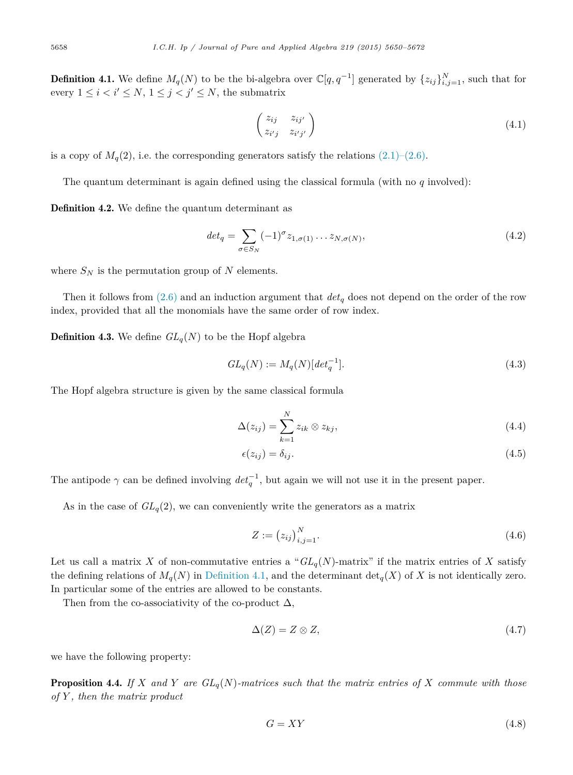<span id="page-8-0"></span>**Definition 4.1.** We define  $M_q(N)$  to be the bi-algebra over  $\mathbb{C}[q, q^{-1}]$  generated by  $\{z_{ij}\}_{i,j=1}^N$ , such that for every  $1 \leq i < i' \leq N$ ,  $1 \leq j < j' \leq N$ , the submatrix

$$
\begin{pmatrix} z_{ij} & z_{ij'} \\ z_{i'j} & z_{i'j'} \end{pmatrix}
$$
 (4.1)

is a copy of  $M_q(2)$ , i.e. the corresponding generators satisfy the relations  $(2.1)$ – $(2.6)$ .

The quantum determinant is again defined using the classical formula (with no *q* involved):

Definition 4.2. We define the quantum determinant as

$$
det_q = \sum_{\sigma \in S_N} (-1)^{\sigma} z_{1,\sigma(1)} \dots z_{N,\sigma(N)},
$$
\n(4.2)

where  $S_N$  is the permutation group of N elements.

Then it follows from [\(2.6\)](#page-4-0) and an induction argument that *det<sup>q</sup>* does not depend on the order of the row index, provided that all the monomials have the same order of row index.

**Definition 4.3.** We define  $GL_q(N)$  to be the Hopf algebra

$$
GL_q(N) := M_q(N)[\det_q^{-1}].
$$
\n(4.3)

The Hopf algebra structure is given by the same classical formula

$$
\Delta(z_{ij}) = \sum_{k=1}^{N} z_{ik} \otimes z_{kj}, \qquad (4.4)
$$

$$
\epsilon(z_{ij}) = \delta_{ij}.\tag{4.5}
$$

The antipode  $\gamma$  can be defined involving  $det_q^{-1}$ , but again we will not use it in the present paper.

As in the case of  $GL_q(2)$ , we can conveniently write the generators as a matrix

$$
Z := (z_{ij})_{i,j=1}^N.
$$
\n(4.6)

Let us call a matrix *X* of non-commutative entries a " $GL_q(N)$ -matrix" if the matrix entries of *X* satisfy the defining relations of  $M_q(N)$  in Definition 4.1, and the determinant  $\det_q(X)$  of X is not identically zero. In particular some of the entries are allowed to be constants.

Then from the co-associativity of the co-product  $\Delta$ ,

$$
\Delta(Z) = Z \otimes Z,\tag{4.7}
$$

we have the following property:

**Proposition 4.4.** If X and Y are  $GL_q(N)$ -matrices such that the matrix entries of X commute with those *of Y , then the matrix product*

$$
G = XY \tag{4.8}
$$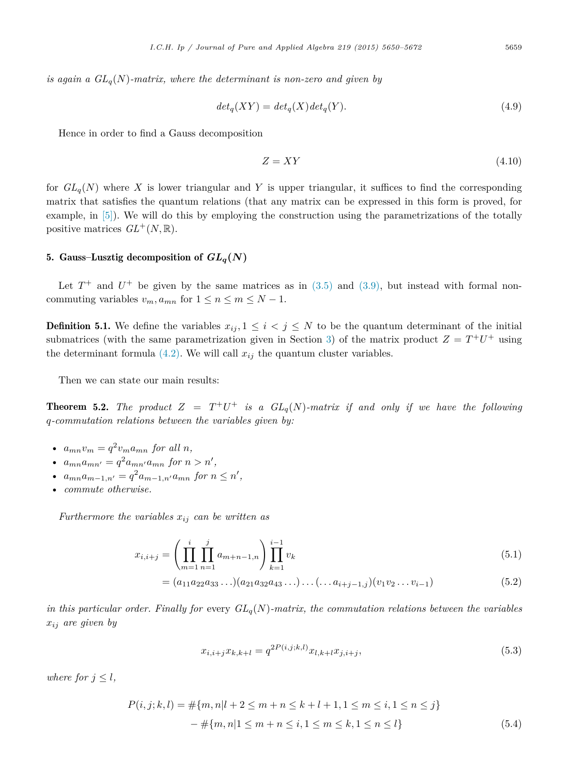<span id="page-9-0"></span>*is again a*  $GL_q(N)$ *-matrix, where the determinant is non-zero and given by* 

$$
det_q(XY) = det_q(X)det_q(Y).
$$
\n(4.9)

Hence in order to find a Gauss decomposition

$$
Z = XY \tag{4.10}
$$

for  $GL_q(N)$  where X is lower triangular and Y is upper triangular, it suffices to find the corresponding matrix that satisfies the quantum relations (that any matrix can be expressed in this form is proved, for example, in [\[5\]\)](#page-21-0). We will do this by employing the construction using the parametrizations of the totally positive matrices  $GL^+(N,\mathbb{R})$ .

# 5. Gauss–Lusztig decomposition of  $GL_q(N)$

Let  $T^+$  and  $U^+$  be given by the same matrices as in [\(3.5\)](#page-6-0) and [\(3.9\),](#page-7-0) but instead with formal noncommuting variables  $v_m$ ,  $a_{mn}$  for  $1 \leq n \leq m \leq N-1$ .

**Definition 5.1.** We define the variables  $x_{ij}$ ,  $1 \leq i \leq j \leq N$  to be the quantum determinant of the initial submatrices (with the same parametrization given in Section [3\)](#page-6-0) of the matrix product  $Z = T^+U^+$  using the determinant formula  $(4.2)$ . We will call  $x_{ij}$  the quantum cluster variables.

Then we can state our main results:

**Theorem 5.2.** The product  $Z = T^+U^+$  is a  $GL_q(N)$ -matrix if and only if we have the following *q-commutation relations between the variables given by:*

- $a_{mn}v_m = q^2v_m a_{mn}$  for all *n*,
- $a_{mn}a_{mn'} = q^2 a_{mn'}a_{mn}$  for  $n > n'$ ,
- $a_{mn}a_{m-1,n'} = q^2 a_{m-1,n'} a_{mn}$  for  $n \leq n'$ ,
- *commute otherwise.*

*Furthermore the variables*  $x_{ij}$  *can be written as* 

$$
x_{i,i+j} = \left(\prod_{m=1}^{i} \prod_{n=1}^{j} a_{m+n-1,n}\right) \prod_{k=1}^{i-1} v_k
$$
\n(5.1)

$$
= (a_{11}a_{22}a_{33}\ldots)(a_{21}a_{32}a_{43}\ldots)\ldots(\ldots a_{i+j-1,j})(v_1v_2\ldots v_{i-1})
$$
\n(5.2)

*in* this particular order. Finally for every  $GL_q(N)$ -matrix, the commutation relations between the variables *xij are given by*

$$
x_{i,i+j}x_{k,k+l} = q^{2P(i,j;k,l)}x_{l,k+l}x_{j,i+j},
$$
\n(5.3)

*where for*  $j \leq l$ *,* 

$$
P(i, j; k, l) = #\{m, n|l + 2 \le m + n \le k + l + 1, 1 \le m \le i, 1 \le n \le j\}
$$

$$
- #\{m, n|1 \le m + n \le i, 1 \le m \le k, 1 \le n \le l\}
$$
(5.4)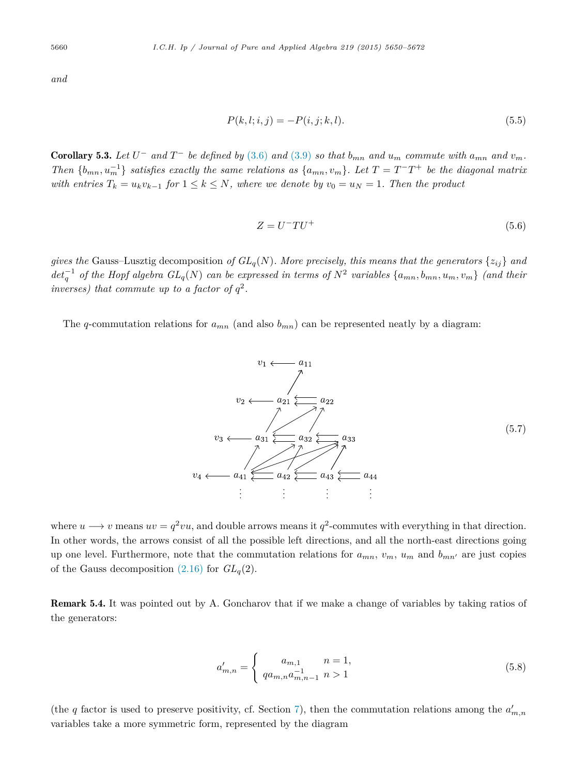<span id="page-10-0"></span>*and*

$$
P(k, l; i, j) = -P(i, j; k, l). \tag{5.5}
$$

**Corollary 5.3.** Let  $U^-$  and  $T^-$  be defined by [\(3.6\)](#page-6-0) and [\(3.9\)](#page-7-0) so that  $b_{mn}$  and  $u_m$  commute with  $a_{mn}$  and  $v_m$ . Then  $\{b_{mn}, u_m^{-1}\}$  satisfies exactly the same relations as  $\{a_{mn}, v_m\}$ . Let  $T = T^{-}T^{+}$  be the diagonal matrix with entries  $T_k = u_k v_{k-1}$  for  $1 \leq k \leq N$ , where we denote by  $v_0 = u_N = 1$ . Then the product

$$
Z = U^- T U^+ \tag{5.6}
$$

*gives* the Gauss–Lusztig decomposition of  $GL_q(N)$ . More precisely, this means that the generators  $\{z_{ij}\}$  and  $det_q^{-1}$  of the Hopf algebra  $GL_q(N)$  can be expressed in terms of  $N^2$  variables  $\{a_{mn}, b_{mn}, u_m, v_m\}$  (and their *inverses) that commute up to a factor of*  $q^2$ *.* 

The *q*-commutation relations for  $a_{mn}$  (and also  $b_{mn}$ ) can be represented neatly by a diagram:



where  $u \rightarrow v$  means  $uv = q^2vu$ , and double arrows means it  $q^2$ -commutes with everything in that direction. In other words, the arrows consist of all the possible left directions, and all the north-east directions going up one level. Furthermore, note that the commutation relations for  $a_{mn}$ ,  $v_m$ ,  $u_m$  and  $b_{mn'}$  are just copies of the Gauss decomposition  $(2.16)$  for  $GL_q(2)$ .

Remark 5.4. It was pointed out by A. Goncharov that if we make a change of variables by taking ratios of the generators:

$$
a'_{m,n} = \begin{cases} a_{m,1} & n = 1, \\ q a_{m,n} a_{m,n-1}^{-1} & n > 1 \end{cases}
$$
 (5.8)

(the *q* factor is used to preserve positivity, cf. Section [7\)](#page-17-0), then the commutation relations among the  $a'_{m,n}$ variables take a more symmetric form, represented by the diagram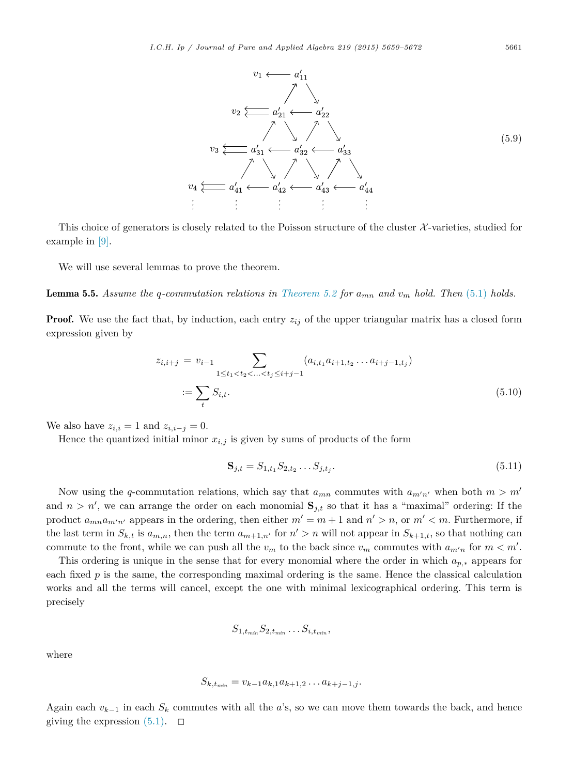<span id="page-11-0"></span>

This choice of generators is closely related to the Poisson structure of the cluster  $\mathcal{X}$ -varieties, studied for example in [\[9\].](#page-21-0)

We will use several lemmas to prove the theorem.

**Lemma 5.5.** Assume the q-commutation relations in [Theorem 5.2](#page-9-0) for  $a_{mn}$  and  $v_m$  hold. Then [\(5.1\)](#page-9-0) holds.

**Proof.** We use the fact that, by induction, each entry  $z_{ij}$  of the upper triangular matrix has a closed form expression given by

$$
z_{i,i+j} = v_{i-1} \sum_{1 \le t_1 < t_2 < \ldots < t_j \le i+j-1} (a_{i,t_1} a_{i+1,t_2} \ldots a_{i+j-1,t_j})
$$
\n
$$
:= \sum_t S_{i,t}.
$$
\n
$$
(5.10)
$$

We also have  $z_{i,i} = 1$  and  $z_{i,i-j} = 0$ .

Hence the quantized initial minor  $x_{i,j}$  is given by sums of products of the form

$$
\mathbf{S}_{j,t} = S_{1,t_1} S_{2,t_2} \dots S_{j,t_j}.\tag{5.11}
$$

Now using the *q*-commutation relations, which say that  $a_{mn}$  commutes with  $a_{m'n'}$  when both  $m > m'$ and  $n > n'$ , we can arrange the order on each monomial  $S_{j,t}$  so that it has a "maximal" ordering: If the product  $a_{mn}a_{m'n'}$  appears in the ordering, then either  $m' = m + 1$  and  $n' > n$ , or  $m' < m$ . Furthermore, if the last term in  $S_{k,t}$  is  $a_{m,n}$ , then the term  $a_{m+1,n'}$  for  $n' > n$  will not appear in  $S_{k+1,t}$ , so that nothing can commute to the front, while we can push all the  $v_m$  to the back since  $v_m$  commutes with  $a_{m'n}$  for  $m < m'$ .

This ordering is unique in the sense that for every monomial where the order in which *ap,*<sup>∗</sup> appears for each fixed *p* is the same, the corresponding maximal ordering is the same. Hence the classical calculation works and all the terms will cancel, except the one with minimal lexicographical ordering. This term is precisely

$$
S_{1,t_{min}}S_{2,t_{min}}\ldots S_{i,t_{min}},
$$

where

$$
S_{k,t_{min}} = v_{k-1}a_{k,1}a_{k+1,2}\dots a_{k+j-1,j}.
$$

Again each  $v_{k-1}$  in each  $S_k$  commutes with all the *a*'s, so we can move them towards the back, and hence giving the expression  $(5.1)$ .  $\Box$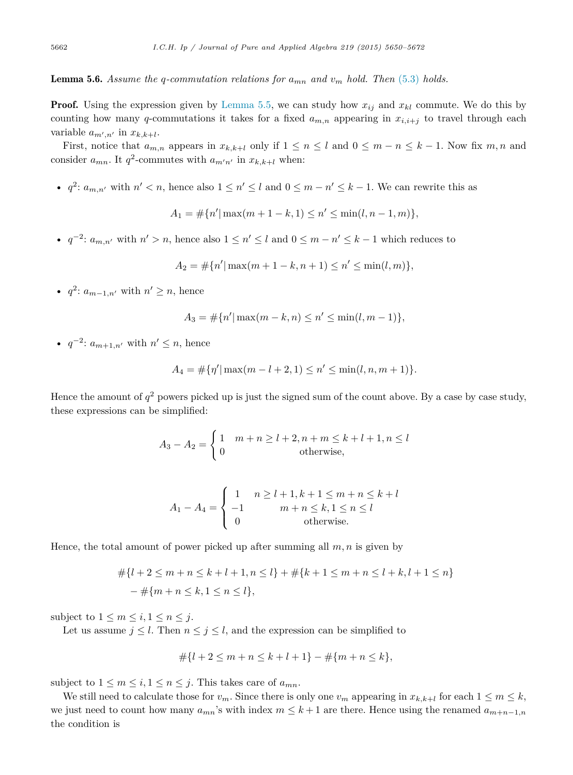# **Lemma 5.6.** Assume the q-commutation relations for  $a_{mn}$  and  $v_m$  hold. Then [\(5.3\)](#page-9-0) holds.

**Proof.** Using the expression given by [Lemma 5.5,](#page-11-0) we can study how  $x_{ij}$  and  $x_{kl}$  commute. We do this by counting how many *q*-commutations it takes for a fixed  $a_{m,n}$  appearing in  $x_{i,i+j}$  to travel through each variable  $a_{m',n'}$  in  $x_{k,k+l}$ .

First, notice that  $a_{m,n}$  appears in  $x_{k,k+l}$  only if  $1 \leq n \leq l$  and  $0 \leq m-n \leq k-1$ . Now fix  $m,n$  and consider  $a_{mn}$ . It  $q^2$ -commutes with  $a_{m'n'}$  in  $x_{k,k+l}$  when:

•  $q^2: a_{m,n'}$  with  $n' < n$ , hence also  $1 \leq n' \leq l$  and  $0 \leq m - n' \leq k - 1$ . We can rewrite this as

$$
A_1 = \#\{n' | \max(m+1-k, 1) \le n' \le \min(l, n-1, m)\},\
$$

•  $q^{-2}$ :  $a_{m,n'}$  with  $n' > n$ , hence also  $1 \leq n' \leq l$  and  $0 \leq m - n' \leq k - 1$  which reduces to

$$
A_2 = \#\{n' | \max(m+1-k, n+1) \le n' \le \min(l, m)\},\
$$

•  $q^2$ :  $a_{m-1,n'}$  with  $n' \geq n$ , hence

$$
A_3 = \#\{n' | \max(m-k, n) \le n' \le \min(l, m-1)\},\
$$

•  $q^{-2}$ :  $a_{m+1,n'}$  with  $n' \leq n$ , hence

$$
A_4 = \#\{\eta' | \max(m - l + 2, 1) \le n' \le \min(l, n, m + 1)\}.
$$

Hence the amount of  $q^2$  powers picked up is just the signed sum of the count above. By a case by case study, these expressions can be simplified:

$$
A_3 - A_2 = \begin{cases} 1 & m+n \ge l+2, n+m \le k+l+1, n \le l \\ 0 & \text{otherwise,} \end{cases}
$$

$$
A_1 - A_4 = \begin{cases} 1 & n \ge l + 1, k + 1 \le m + n \le k + l \\ -1 & m + n \le k, 1 \le n \le l \\ 0 & \text{otherwise.} \end{cases}
$$

Hence, the total amount of power picked up after summing all  $m, n$  is given by

$$
#{l+2 \le m+n \le k+l+1, n \le l} + #{k+1 \le m+n \le l+k, l+1 \le n} - #{m+n \le k, 1 \le n \le l},
$$

subject to  $1 \leq m \leq i, 1 \leq n \leq j$ .

Let us assume  $j \leq l$ . Then  $n \leq j \leq l$ , and the expression can be simplified to

$$
\#\{l+2\leq m+n\leq k+l+1\}-\#\{m+n\leq k\},\
$$

subject to  $1 \leq m \leq i, 1 \leq n \leq j$ . This takes care of  $a_{mn}$ .

We still need to calculate those for  $v_m$ . Since there is only one  $v_m$  appearing in  $x_{k,k+1}$  for each  $1 \leq m \leq k$ , we just need to count how many  $a_{mn}$ 's with index  $m \leq k+1$  are there. Hence using the renamed  $a_{m+n-1,n}$ the condition is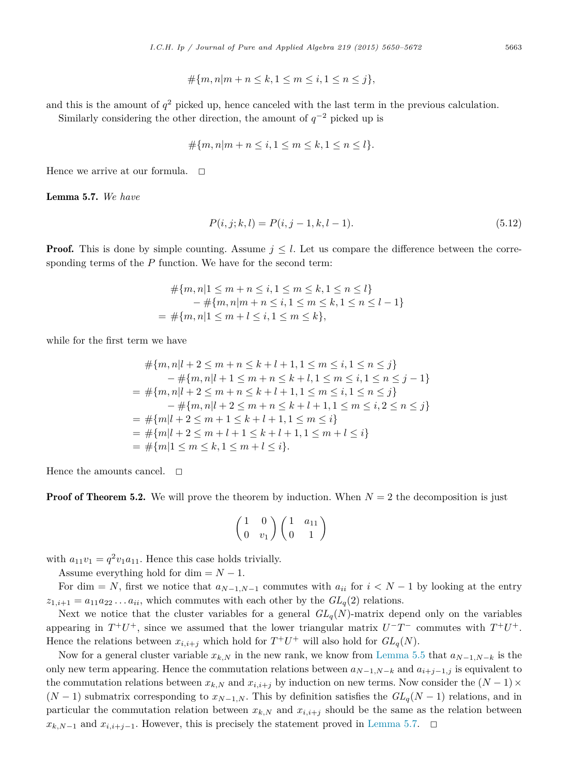$$
\#\{m, n|m + n \le k, 1 \le m \le i, 1 \le n \le j\},\
$$

and this is the amount of  $q^2$  picked up, hence canceled with the last term in the previous calculation.

Similarly considering the other direction, the amount of  $q^{-2}$  picked up is

$$
\#\{m, n|m + n \le i, 1 \le m \le k, 1 \le n \le l\}.
$$

Hence we arrive at our formula.  $\Box$ 

Lemma 5.7. *We have*

$$
P(i, j; k, l) = P(i, j - 1, k, l - 1).
$$
\n(5.12)

**Proof.** This is done by simple counting. Assume  $j \leq l$ . Let us compare the difference between the corresponding terms of the *P* function. We have for the second term:

$$
\begin{aligned} \# \{m, n | 1 \le m + n \le i, 1 \le m \le k, 1 \le n \le l\} \\ &- \# \{m, n | m + n \le i, 1 \le m \le k, 1 \le n \le l - 1\} \\ = \# \{m, n | 1 \le m + l \le i, 1 \le m \le k\}, \end{aligned}
$$

while for the first term we have

$$
\# \{m, n | l + 2 \le m + n \le k + l + 1, 1 \le m \le i, 1 \le n \le j\}
$$
  
\n
$$
- \# \{m, n | l + 1 \le m + n \le k + l, 1 \le m \le i, 1 \le n \le j - 1\}
$$
  
\n
$$
= \# \{m, n | l + 2 \le m + n \le k + l + 1, 1 \le m \le i, 1 \le n \le j\}
$$
  
\n
$$
- \# \{m, n | l + 2 \le m + n \le k + l + 1, 1 \le m \le i, 2 \le n \le j\}
$$
  
\n
$$
= \# \{m | l + 2 \le m + 1 \le k + l + 1, 1 \le m \le i\}
$$
  
\n
$$
= \# \{m | l + 2 \le m + l + 1 \le k + l + 1, 1 \le m + l \le i\}
$$
  
\n
$$
= \# \{m | 1 \le m \le k, 1 \le m + l \le i\}.
$$

Hence the amounts cancel.  $\square$ 

**Proof of Theorem 5.2.** We will prove the theorem by induction. When  $N = 2$  the decomposition is just

$$
\begin{pmatrix}\n1 & 0 \\
0 & v_1\n\end{pmatrix}\n\begin{pmatrix}\n1 & a_{11} \\
0 & 1\n\end{pmatrix}
$$

with  $a_{11}v_1 = q^2v_1a_{11}$ . Hence this case holds trivially.

Assume everything hold for dim  $= N - 1$ .

For dim = *N*, first we notice that  $a_{N-1,N-1}$  commutes with  $a_{ii}$  for  $i < N-1$  by looking at the entry  $z_{1,i+1} = a_{11}a_{22} \ldots a_{ii}$ , which commutes with each other by the  $GL_q(2)$  relations.

Next we notice that the cluster variables for a general  $GL_q(N)$ -matrix depend only on the variables appearing in  $T^+U^+$ , since we assumed that the lower triangular matrix  $U^-T^-$  commutes with  $T^+U^+$ . Hence the relations between  $x_{i,i+j}$  which hold for  $T^+U^+$  will also hold for  $GL_q(N)$ .

Now for a general cluster variable  $x_{k,N}$  in the new rank, we know from [Lemma 5.5](#page-11-0) that  $a_{N-1,N-k}$  is the only new term appearing. Hence the commutation relations between  $a_{N-1,N-k}$  and  $a_{i+j-1,j}$  is equivalent to the commutation relations between  $x_{k,N}$  and  $x_{i,i+j}$  by induction on new terms. Now consider the  $(N-1) \times$  $(N-1)$  submatrix corresponding to  $x_{N-1,N}$ . This by definition satisfies the  $GL_q(N-1)$  relations, and in particular the commutation relation between  $x_{k,N}$  and  $x_{i,i+j}$  should be the same as the relation between  $x_{k,N-1}$  and  $x_{i,i+j-1}$ . However, this is precisely the statement proved in Lemma 5.7.  $\Box$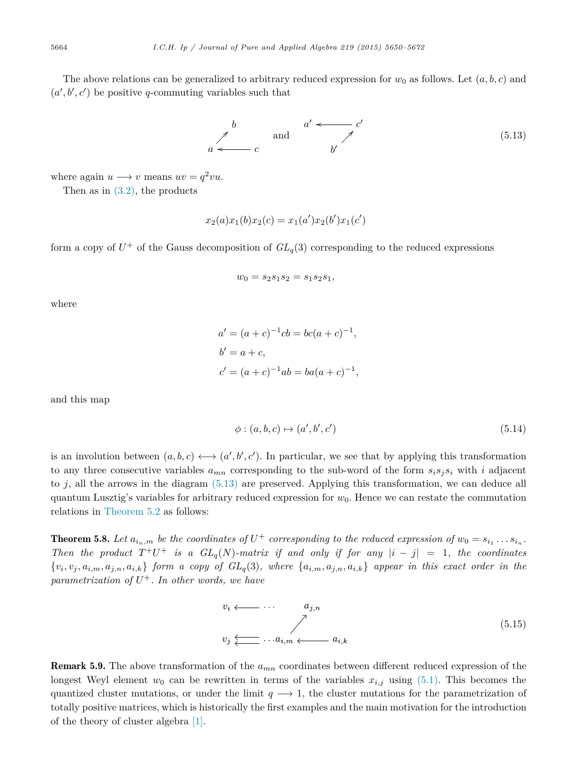<span id="page-14-0"></span>The above relations can be generalized to arbitrary reduced expression for  $w_0$  as follows. Let  $(a, b, c)$  and  $(a', b', c')$  be positive *q*-commuting variables such that



where again  $u \rightarrow v$  means  $uv = q^2 vu$ .

Then as in  $(3.2)$ , the products

$$
x_2(a)x_1(b)x_2(c) = x_1(a')x_2(b')x_1(c')
$$

form a copy of  $U^+$  of the Gauss decomposition of  $GL_q(3)$  corresponding to the reduced expressions

$$
w_0 = s_2 s_1 s_2 = s_1 s_2 s_1,
$$

where

$$
a' = (a + c)^{-1}cb = bc(a + c)^{-1},
$$
  
\n
$$
b' = a + c,
$$
  
\n
$$
c' = (a + c)^{-1}ab = ba(a + c)^{-1},
$$

and this map

$$
\phi: (a, b, c) \mapsto (a', b', c') \tag{5.14}
$$

is an involution between  $(a, b, c) \longleftrightarrow (a', b', c')$ . In particular, we see that by applying this transformation to any three consecutive variables  $a_{mn}$  corresponding to the sub-word of the form  $s_i s_j s_i$  with *i* adjacent to  $j$ , all the arrows in the diagram  $(5.13)$  are preserved. Applying this transformation, we can deduce all quantum Lusztig's variables for arbitrary reduced expression for  $w_0$ . Hence we can restate the commutation relations in [Theorem 5.2](#page-9-0) as follows:

**Theorem 5.8.** Let  $a_{i_n,m}$  be the coordinates of  $U^+$  corresponding to the reduced expression of  $w_0 = s_{i_1} \ldots s_{i_n}$ . Then the product  $T^+U^+$  is a  $GL_q(N)$ -matrix if and only if for any  $|i-j|=1$ , the coordinates  $\{v_i, v_j, a_{i,m}, a_{j,n}, a_{i,k}\}\$ form a copy of  $GL_q(3)$ , where  $\{a_{i,m}, a_{j,n}, a_{i,k}\}\$  appear in this exact order in the *parametrization* of  $U^+$ *. In other words, we have* 

$$
v_i \longleftarrow \cdots \qquad a_{j,n}
$$
  
\n
$$
v_j \underleftarrow{\qquad \qquad } \cdots a_{i,m} \longleftarrow a_{i,k}
$$
  
\n
$$
(5.15)
$$

Remark 5.9. The above transformation of the *amn* coordinates between different reduced expression of the longest Weyl element  $w_0$  can be rewritten in terms of the variables  $x_{i,j}$  using [\(5.1\).](#page-9-0) This becomes the quantized cluster mutations, or under the limit  $q \rightarrow 1$ , the cluster mutations for the parametrization of totally positive matrices, which is historically the first examples and the main motivation for the introduction of the theory of cluster algebra [\[1\].](#page-21-0)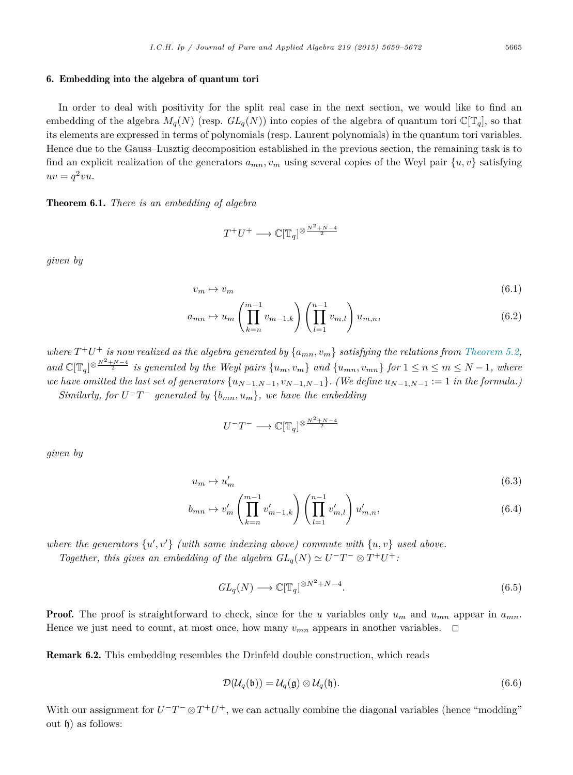# <span id="page-15-0"></span>6. Embedding into the algebra of quantum tori

In order to deal with positivity for the split real case in the next section, we would like to find an embedding of the algebra  $M_q(N)$  (resp.  $GL_q(N)$ ) into copies of the algebra of quantum tori  $\mathbb{C}[\mathbb{T}_q]$ , so that its elements are expressed in terms of polynomials (resp. Laurent polynomials) in the quantum tori variables. Hence due to the Gauss–Lusztig decomposition established in the previous section, the remaining task is to find an explicit realization of the generators  $a_{mn}$ ,  $v_m$  using several copies of the Weyl pair  $\{u, v\}$  satisfying  $uv = q^2vu.$ 

# Theorem 6.1. *There is an embedding of algebra*

$$
T^+U^+\longrightarrow\mathbb{C}[\mathbb{T}_q]^{\otimes\frac{N^2+N-4}{2}}
$$

*given by*

$$
v_m \mapsto v_m \tag{6.1}
$$

$$
a_{mn} \mapsto u_m \left( \prod_{k=n}^{m-1} v_{m-1,k} \right) \left( \prod_{l=1}^{n-1} v_{m,l} \right) u_{m,n}, \tag{6.2}
$$

where  $T^+U^+$  is now realized as the algebra generated by  $\{a_{mn}, v_m\}$  satisfying the relations from [Theorem 5.2,](#page-9-0) and  $\mathbb{C}[\mathbb{T}_q]^{\otimes \frac{N^2+N-4}{2}}$  is generated by the Weyl pairs  $\{u_m, v_m\}$  and  $\{u_{mn}, v_{mn}\}$  for  $1 \le n \le m \le N-1$ , where we have omitted the last set of generators  $\{u_{N-1,N-1}, v_{N-1,N-1}\}$ . (We define  $u_{N-1,N-1} := 1$  in the formula.) *Similarly, for*  $U-T^-$  *generated by*  $\{b_{mn}, u_m\}$ *, we have the embedding* 

$$
U^-T^-\longrightarrow \mathbb{C}[\mathbb{T}_q]^{\otimes\frac{N^2+N-4}{2}}
$$

*given by*

$$
u_m \mapsto u'_m \tag{6.3}
$$

$$
b_{mn} \mapsto v'_m \left( \prod_{k=n}^{m-1} v'_{m-1,k} \right) \left( \prod_{l=1}^{n-1} v'_{m,l} \right) u'_{m,n}, \tag{6.4}
$$

*where the generators* {*u , v* } *(with same indexing above) commute with* {*u, v*} *used above.*

*Together, this gives an embedding of the algebra*  $GL_q(N) \simeq U^-T^- \otimes T^+U^+$ *:* 

$$
GL_q(N) \longrightarrow \mathbb{C}[\mathbb{T}_q]^{\otimes N^2 + N - 4}.
$$
\n(6.5)

**Proof.** The proof is straightforward to check, since for the *u* variables only  $u_m$  and  $u_{mn}$  appear in  $a_{mn}$ . Hence we just need to count, at most once, how many  $v_{mn}$  appears in another variables.  $\Box$ 

Remark 6.2. This embedding resembles the Drinfeld double construction, which reads

$$
\mathcal{D}(\mathcal{U}_q(\mathfrak{b})) = \mathcal{U}_q(\mathfrak{g}) \otimes \mathcal{U}_q(\mathfrak{h}). \tag{6.6}
$$

With our assignment for  $U^-T^-\otimes T^+U^+$ , we can actually combine the diagonal variables (hence "modding" out  $\mathfrak{h}$ ) as follows: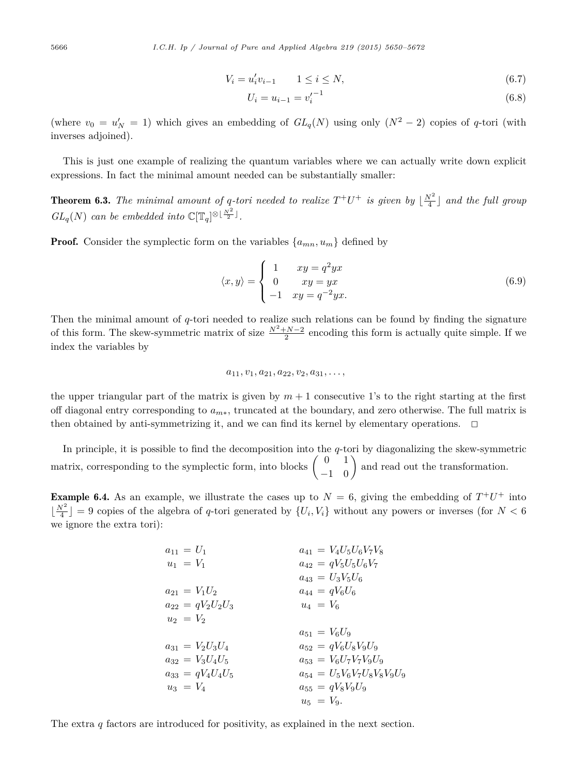$$
V_i = u'_i v_{i-1} \qquad 1 \le i \le N,\tag{6.7}
$$

$$
U_i = u_{i-1} = {v'_i}^{-1} \tag{6.8}
$$

<span id="page-16-0"></span>(where  $v_0 = u'_N = 1$ ) which gives an embedding of  $GL_q(N)$  using only  $(N^2 - 2)$  copies of *q*-tori (with inverses adjoined).

This is just one example of realizing the quantum variables where we can actually write down explicit expressions. In fact the minimal amount needed can be substantially smaller:

**Theorem 6.3.** The minimal amount of q-tori needed to realize  $T^+U^+$  is given by  $\lfloor \frac{N^2}{4} \rfloor$  and the full group  $GL_q(N)$  *can be embedded into*  $\mathbb{C}[\mathbb{T}_q]^{\otimes \lfloor \frac{N^2}{2} \rfloor}$ .

**Proof.** Consider the symplectic form on the variables  $\{a_{mn}, u_m\}$  defined by

$$
\langle x, y \rangle = \begin{cases} 1 & xy = q^2 yx \\ 0 & xy = yx \\ -1 & xy = q^{-2} yx. \end{cases}
$$
(6.9)

Then the minimal amount of *q*-tori needed to realize such relations can be found by finding the signature of this form. The skew-symmetric matrix of size  $\frac{N^2+N-2}{2}$  encoding this form is actually quite simple. If we index the variables by

$$
a_{11}, v_1, a_{21}, a_{22}, v_2, a_{31}, \ldots,
$$

the upper triangular part of the matrix is given by  $m + 1$  consecutive 1's to the right starting at the first off diagonal entry corresponding to *a<sup>m</sup>*∗, truncated at the boundary, and zero otherwise. The full matrix is then obtained by anti-symmetrizing it, and we can find its kernel by elementary operations.  $\Box$ 

In principle, it is possible to find the decomposition into the *q*-tori by diagonalizing the skew-symmetric matrix, corresponding to the symplectic form, into blocks  $\begin{pmatrix} 0 & 1 \\ -1 & 0 \end{pmatrix}$  and read out the transformation.

**Example 6.4.** As an example, we illustrate the cases up to  $N = 6$ , giving the embedding of  $T^+U^+$  into  $\lfloor \frac{N^2}{4} \rfloor = 9$  copies of the algebra of *q*-tori generated by  $\{U_i, V_i\}$  without any powers or inverses (for  $N < 6$ we ignore the extra tori):

| $a_{11} = U_1$         | $a_{41} = V_4 U_5 U_6 V_7 V_8$         |
|------------------------|----------------------------------------|
| $u_1 = V_1$            | $a_{42} = qV_5U_5U_6V_7$               |
|                        | $a_{43} = U_3 V_5 U_6$                 |
| $a_{21} = V_1 U_2$     | $a_{44} = qV_6U_6$                     |
| $a_{22} = qV_2U_2U_3$  | $u_4 = V_6$                            |
| $u_2 = V_2$            |                                        |
|                        | $a_{51} = V_6 U_9$                     |
| $a_{31} = V_2 U_3 U_4$ | $a_{52} = qV_6U_8V_9U_9$               |
| $a_{32} = V_3 U_4 U_5$ | $a_{53} = V_6 U_7 V_7 V_9 U_9$         |
| $a_{33} = qV_4U_4U_5$  | $a_{54} = U_5 V_6 V_7 U_8 V_8 V_9 U_9$ |
| $u_3 = V_4$            | $a_{55} = qV_8V_9U_9$                  |
|                        | $u_5 = V_9.$                           |

The extra *q* factors are introduced for positivity, as explained in the next section.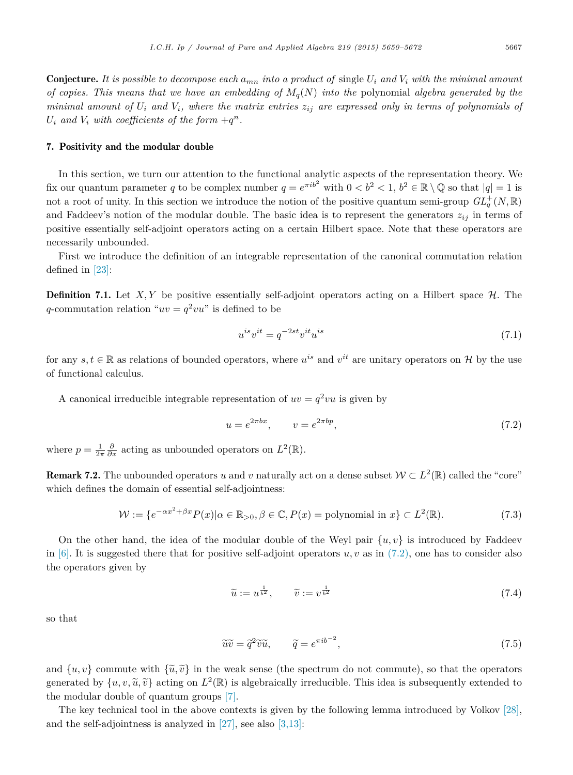<span id="page-17-0"></span>**Conjecture.** It is possible to decompose each  $a_{mn}$  into a product of single  $U_i$  and  $V_i$  with the minimal amount of copies. This means that we have an embedding of  $M_q(N)$  into the polynomial algebra generated by the minimal amount of  $U_i$  and  $V_i$ , where the matrix entries  $z_{ij}$  are expressed only in terms of polynomials of  $U_i$  *and*  $V_i$  *with coefficients of the form*  $+q^n$ *.* 

# 7. Positivity and the modular double

In this section, we turn our attention to the functional analytic aspects of the representation theory. We fix our quantum parameter *q* to be complex number  $q = e^{\pi i b^2}$  with  $0 < b^2 < 1$ ,  $b^2 \in \mathbb{R} \setminus \mathbb{Q}$  so that  $|q| = 1$  is not a root of unity. In this section we introduce the notion of the positive quantum semi-group  $GL_q^+(N,\mathbb{R})$ and Faddeev's notion of the modular double. The basic idea is to represent the generators  $z_{ij}$  in terms of positive essentially self-adjoint operators acting on a certain Hilbert space. Note that these operators are necessarily unbounded.

First we introduce the definition of an integrable representation of the canonical commutation relation defined in [\[23\]:](#page-22-0)

**Definition 7.1.** Let  $X, Y$  be positive essentially self-adjoint operators acting on a Hilbert space  $H$ . The *q*-commutation relation " $uv = q^2vu$ " is defined to be

$$
u^{is}v^{it} = q^{-2st}v^{it}u^{is}
$$
\n
$$
(7.1)
$$

for any  $s, t \in \mathbb{R}$  as relations of bounded operators, where  $u^{is}$  and  $v^{it}$  are unitary operators on H by the use of functional calculus.

A canonical irreducible integrable representation of  $uv = q^2vu$  is given by

$$
u = e^{2\pi bx}, \qquad v = e^{2\pi bp}, \tag{7.2}
$$

where  $p = \frac{1}{2\pi} \frac{\partial}{\partial x}$  acting as unbounded operators on  $L^2(\mathbb{R})$ .

**Remark 7.2.** The unbounded operators *u* and *v* naturally act on a dense subset  $W \subset L^2(\mathbb{R})$  called the "core" which defines the domain of essential self-adjointness:

$$
\mathcal{W} := \{ e^{-\alpha x^2 + \beta x} P(x) | \alpha \in \mathbb{R}_{>0}, \beta \in \mathbb{C}, P(x) = \text{polynomial in } x \} \subset L^2(\mathbb{R}).\tag{7.3}
$$

On the other hand, the idea of the modular double of the Weyl pair  $\{u, v\}$  is introduced by Faddeev in  $[6]$ . It is suggested there that for positive self-adjoint operators  $u, v$  as in  $(7.2)$ , one has to consider also the operators given by

$$
\widetilde{u} := u^{\frac{1}{b^2}}, \qquad \widetilde{v} := v^{\frac{1}{b^2}} \tag{7.4}
$$

so that

$$
\widetilde{u}\widetilde{v} = \widetilde{q}^2 \widetilde{v}\widetilde{u}, \qquad \widetilde{q} = e^{\pi i b^{-2}}, \tag{7.5}
$$

and  $\{u, v\}$  commute with  $\{\tilde{u}, \tilde{v}\}$  in the weak sense (the spectrum do not commute), so that the operators generated by  $\{u, v, \tilde{u}, \tilde{v}\}$  acting on  $L^2(\mathbb{R})$  is algebraically irreducible. This idea is subsequently extended to the modular double of quantum groups [\[7\].](#page-21-0)

The key technical tool in the above contexts is given by the following lemma introduced by Volkov [\[28\],](#page-22-0) and the self-adjointness is analyzed in  $[27]$ , see also  $[3,13]$ :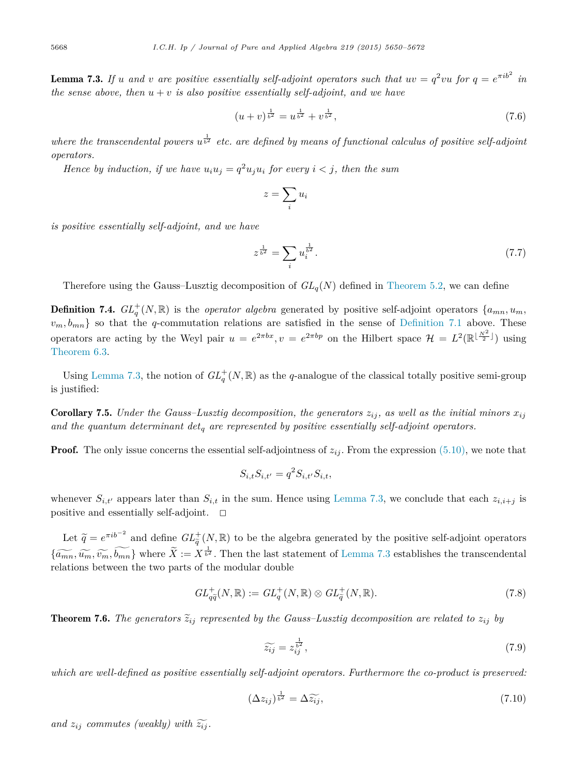<span id="page-18-0"></span>**Lemma 7.3.** If u and v are positive essentially self-adjoint operators such that  $uv = q^2vu$  for  $q = e^{\pi ib^2}$  in *the sense above, then u* + *v is also positive essentially self-adjoint, and we have*

$$
(u+v)^{\frac{1}{b^2}} = u^{\frac{1}{b^2}} + v^{\frac{1}{b^2}},\tag{7.6}
$$

where the transcendental powers  $u^{\frac{1}{b^2}}$  etc. are defined by means of functional calculus of positive self-adjoint *operators.*

Hence by induction, if we have  $u_i u_j = q^2 u_j u_i$  for every  $i < j$ , then the sum

$$
z = \sum_i u_i
$$

*is positive essentially self-adjoint, and we have*

$$
z^{\frac{1}{b^2}} = \sum_i u_i^{\frac{1}{b^2}}.
$$
\n(7.7)

Therefore using the Gauss–Lusztig decomposition of  $GL_q(N)$  defined in [Theorem 5.2,](#page-9-0) we can define

**Definition 7.4.**  $GL_q^+(N, \mathbb{R})$  is the *operator algebra* generated by positive self-adjoint operators  $\{a_{mn}, u_m,$  $v_m, b_{mn}$  so that the *q*-commutation relations are satisfied in the sense of [Definition 7.1](#page-17-0) above. These operators are acting by the Weyl pair  $u = e^{2\pi bx}$ ,  $v = e^{2\pi bp}$  on the Hilbert space  $\mathcal{H} = L^2(\mathbb{R}^{\lfloor \frac{N^2}{2} \rfloor})$  using [Theorem 6.3.](#page-16-0)

Using Lemma 7.3, the notion of  $GL_q^+(N,\mathbb{R})$  as the *q*-analogue of the classical totally positive semi-group is justified:

**Corollary 7.5.** Under the Gauss-Lusztig decomposition, the generators  $z_{ij}$ , as well as the initial minors  $x_{ij}$ *and the quantum determinant det<sup>q</sup> are represented by positive essentially self-adjoint operators.*

**Proof.** The only issue concerns the essential self-adjointness of  $z_{ij}$ . From the expression [\(5.10\),](#page-11-0) we note that

$$
S_{i,t} S_{i,t'} = q^2 S_{i,t'} S_{i,t},
$$

whenever  $S_{i,t'}$  appears later than  $S_{i,t}$  in the sum. Hence using Lemma 7.3, we conclude that each  $z_{i,i+j}$  is positive and essentially self-adjoint.  $\square$ 

Let  $\tilde{q} = e^{\pi i b^{-2}}$  and define  $GL_{\tilde{q}}^{+}(N, \mathbb{R})$  to be the algebra generated by the positive self-adjoint operators  $\{\widetilde{a_{mn}}, \widetilde{u_m}, \widetilde{b_{mn}}\}$  where  $\widetilde{X} := X^{\frac{1}{b^2}}$ . Then the last statement of Lemma 7.3 establishes the transcendental relations between the two parts of the modular double

$$
GL_{q\tilde{q}}^+(N,\mathbb{R}) := GL_q^+(N,\mathbb{R}) \otimes GL_q^+(N,\mathbb{R}).\tag{7.8}
$$

**Theorem 7.6.** The generators  $\tilde{z}_{ij}$  represented by the Gauss–Lusztig decomposition are related to  $z_{ij}$  by

$$
\widetilde{z_{ij}} = z_{ij}^{\frac{1}{b^2}},\tag{7.9}
$$

*which are well-defined as positive essentially self-adjoint operators. Furthermore the co-product is preserved:*

$$
(\Delta z_{ij})^{\frac{1}{b^2}} = \Delta \widetilde{z_{ij}},\tag{7.10}
$$

and  $z_{ij}$  *commutes* (weakly) with  $\widetilde{z_{ij}}$ .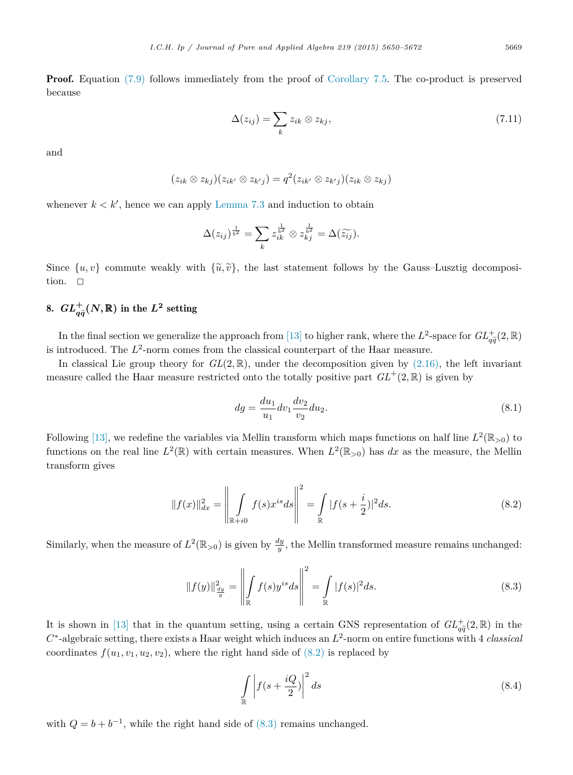<span id="page-19-0"></span>**Proof.** Equation [\(7.9\)](#page-18-0) follows immediately from the proof of [Corollary 7.5.](#page-18-0) The co-product is preserved because

$$
\Delta(z_{ij}) = \sum_{k} z_{ik} \otimes z_{kj}, \qquad (7.11)
$$

and

$$
(z_{ik} \otimes z_{kj})(z_{ik'} \otimes z_{k'j}) = q^2(z_{ik'} \otimes z_{k'j})(z_{ik} \otimes z_{kj})
$$

whenever  $k < k'$ , hence we can apply [Lemma 7.3](#page-18-0) and induction to obtain

$$
\Delta(z_{ij})^{\frac{1}{b^2}} = \sum_k z_{ik}^{\frac{1}{b^2}} \otimes z_{kj}^{\frac{1}{b^2}} = \Delta(\widetilde{z_{ij}}).
$$

Since  $\{u, v\}$  commute weakly with  $\{\tilde{u}, \tilde{v}\}$ , the last statement follows by the Gauss–Lusztig decomposition tion.  $\Box$ 

# 8.  $GL_{q\widetilde{q}}^{+}(N,\mathbb{R})$  in the  $L^{2}$  setting

In the final section we generalize the approach from [\[13\]](#page-21-0) to higher rank, where the  $L^2$ -space for  $GL_{q\bar{q}}^+(2,\mathbb{R})$ is introduced. The  $L^2$ -norm comes from the classical counterpart of the Haar measure.

In classical Lie group theory for  $GL(2,\mathbb{R})$ , under the decomposition given by  $(2.16)$ , the left invariant measure called the Haar measure restricted onto the totally positive part  $GL^+(2,\mathbb{R})$  is given by

$$
dg = \frac{du_1}{u_1} dv_1 \frac{dv_2}{v_2} du_2.
$$
\n(8.1)

Following [\[13\],](#page-21-0) we redefine the variables via Mellin transform which maps functions on half line  $L^2(\mathbb{R}_{>0})$  to functions on the real line  $L^2(\mathbb{R})$  with certain measures. When  $L^2(\mathbb{R}_{>0})$  has dx as the measure, the Mellin transform gives

$$
||f(x)||_{dx}^{2} = \left\| \int_{\mathbb{R}+i0} f(s)x^{is}ds \right\|^{2} = \int_{\mathbb{R}} |f(s+\frac{i}{2})|^{2}ds.
$$
 (8.2)

Similarly, when the measure of  $L^2(\mathbb{R}_{>0})$  is given by  $\frac{dy}{y}$ , the Mellin transformed measure remains unchanged:

$$
||f(y)||_{\frac{dy}{y}}^{2} = \left\| \int_{\mathbb{R}} f(s)y^{is}ds \right\|^{2} = \int_{\mathbb{R}} |f(s)|^{2}ds.
$$
 (8.3)

It is shown in [\[13\]](#page-21-0) that in the quantum setting, using a certain GNS representation of  $GL_{\tilde{a}}^+(2,\mathbb{R})$  in the *C*<sup>∗</sup>-algebraic setting, there exists a Haar weight which induces an  $L^2$ -norm on entire functions with 4 *classical* coordinates  $f(u_1, v_1, u_2, v_2)$ , where the right hand side of  $(8.2)$  is replaced by

$$
\int_{\mathbb{R}} \left| f(s + \frac{iQ}{2}) \right|^2 ds \tag{8.4}
$$

with  $Q = b + b^{-1}$ , while the right hand side of (8.3) remains unchanged.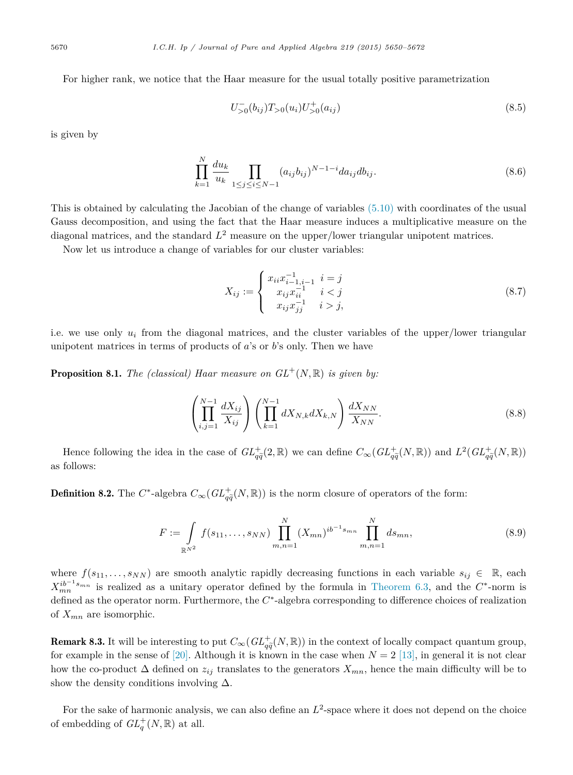For higher rank, we notice that the Haar measure for the usual totally positive parametrization

$$
U_{>0}^{-}(b_{ij})T_{>0}(u_i)U_{>0}^{+}(a_{ij})
$$
\n(8.5)

is given by

$$
\prod_{k=1}^{N} \frac{du_k}{u_k} \prod_{1 \le j \le i \le N-1} (a_{ij}b_{ij})^{N-1-i} da_{ij} db_{ij}.
$$
\n(8.6)

This is obtained by calculating the Jacobian of the change of variables [\(5.10\)](#page-11-0) with coordinates of the usual Gauss decomposition, and using the fact that the Haar measure induces a multiplicative measure on the diagonal matrices, and the standard  $L^2$  measure on the upper/lower triangular unipotent matrices.

Now let us introduce a change of variables for our cluster variables:

$$
X_{ij} := \begin{cases} x_{ii}x_{i-1,i-1}^{-1} & i = j \\ x_{ij}x_{ii}^{-1} & i < j \\ x_{ij}x_{jj}^{-1} & i > j, \end{cases} \tag{8.7}
$$

i.e. we use only *u<sup>i</sup>* from the diagonal matrices, and the cluster variables of the upper/lower triangular unipotent matrices in terms of products of *a*'s or *b*'s only. Then we have

**Proposition 8.1.** *The (classical) Haar measure on*  $GL^+(N, \mathbb{R})$  *is given by:* 

$$
\left(\prod_{i,j=1}^{N-1} \frac{dX_{ij}}{X_{ij}}\right) \left(\prod_{k=1}^{N-1} dX_{N,k} dX_{k,N}\right) \frac{dX_{NN}}{X_{NN}}.\tag{8.8}
$$

Hence following the idea in the case of  $GL_{q\tilde{q}}^+(2,\mathbb{R})$  we can define  $C_\infty(GL_{q\tilde{q}}^+(N,\mathbb{R}))$  and  $L^2(GL_{q\tilde{q}}^+(N,\mathbb{R}))$ as follows:

**Definition 8.2.** The  $C^*$ -algebra  $C_\infty(GL_{q\tilde{q}}^+(N,\mathbb{R}))$  is the norm closure of operators of the form:

$$
F := \int_{\mathbb{R}^{N^2}} f(s_{11}, \dots, s_{NN}) \prod_{m,n=1}^N (X_{mn})^{ib^{-1} s_{mn}} \prod_{m,n=1}^N ds_{mn},
$$
\n(8.9)

where  $f(s_{11}, \ldots, s_{NN})$  are smooth analytic rapidly decreasing functions in each variable  $s_{ij} \in \mathbb{R}$ , each  $X_{mn}^{ib^{-1}s_{mn}}$  is realized as a unitary operator defined by the formula in [Theorem 6.3,](#page-16-0) and the  $C^*$ -norm is defined as the operator norm. Furthermore, the *C*∗-algebra corresponding to difference choices of realization of *Xmn* are isomorphic.

**Remark 8.3.** It will be interesting to put  $C_{\infty}(GL_{q\tilde{q}}^{+}(N,\mathbb{R}))$  in the context of locally compact quantum group,<br>for example in the conce of [20]. Although it is lineum in the cose when  $N = 2$  [12], in general it for example in the sense of  $[20]$ . Although it is known in the case when  $N = 2$  [\[13\],](#page-21-0) in general it is not clear how the co-product  $\Delta$  defined on  $z_{ij}$  translates to the generators  $X_{mn}$ , hence the main difficulty will be to show the density conditions involving  $\Delta$ .

For the sake of harmonic analysis, we can also define an  $L^2$ -space where it does not depend on the choice of embedding of  $GL_q^+(N, \mathbb{R})$  at all.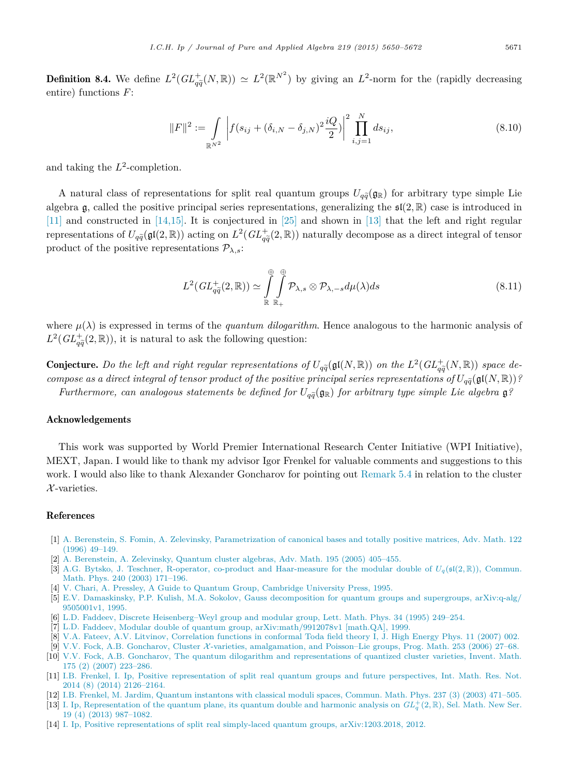<span id="page-21-0"></span>**Definition 8.4.** We define  $L^2(GL_{q\tilde{q}}^+(N,\mathbb{R})) \simeq L^2(\mathbb{R}^{N^2})$  by giving an  $L^2$ -norm for the (rapidly decreasing entire) functions  $F$ . entire) functions *F*:

$$
||F||^2 := \int_{\mathbb{R}^{N^2}} \left| f(s_{ij} + (\delta_{i,N} - \delta_{j,N})^2 \frac{iQ}{2}) \right|^2 \prod_{i,j=1}^N ds_{ij}, \tag{8.10}
$$

and taking the  $L^2$ -completion.

A natural class of representations for split real quantum groups  $U_{q\tilde{q}}(\mathfrak{g}_{\mathbb{R}})$  for arbitrary type simple Lie algebra g, called the positive principal series representations, generalizing the  $\mathfrak{sl}(2,\mathbb{R})$  case is introduced in [11] and constructed in [14,15]. It is conjectured in [\[25\]](#page-22-0) and shown in [13] that the left and right regular representations of  $U_{q\bar{q}}(\mathfrak{gl}(2,\mathbb{R}))$  acting on  $L^2(GL_{q\bar{q}}^+(2,\mathbb{R}))$  naturally decompose as a direct integral of tensor product of the positive representations  $P_{\lambda,s}$ :

$$
L^2(GL_{q\tilde{q}}^+(2,\mathbb{R})) \simeq \int\limits_{\mathbb{R}}^{\oplus} \int\limits_{\mathbb{R}_+}^{\oplus} \mathcal{P}_{\lambda,s} \otimes \mathcal{P}_{\lambda,-s} d\mu(\lambda) ds \tag{8.11}
$$

where  $\mu(\lambda)$  is expressed in terms of the *quantum dilogarithm*. Hence analogous to the harmonic analysis of  $L^2(GL_{q\bar{q}}^+(2,\mathbb{R}))$ , it is natural to ask the following question:

**Conjecture.** Do the left and right regular representations of  $U_{q\tilde{q}}(\mathfrak{gl}(N,\mathbb{R}))$  on the  $L^2(GL_{q\tilde{q}}^+(N,\mathbb{R}))$  space de $q\widetilde{q}$ <br> $q\widetilde{q}$ compose as a direct integral of tensor product of the positive principal series representations of  $U_{q\tilde{q}}(\mathfrak{gl}(N,\mathbb{R}))$ ?  $Furthermore, can analogous statements be defined for  $U_{q\tilde{q}}(\mathfrak{g}_{\mathbb{R}})$  for arbitrary type simple Lie algebra  $\mathfrak{g}_{q}^{q}(\mathfrak{g}_{\mathbb{R}})$$ 

# Acknowledgements

This work was supported by World Premier International Research Center Initiative (WPI Initiative), MEXT, Japan. I would like to thank my advisor Igor Frenkel for valuable comments and suggestions to this work. I would also like to thank Alexander Goncharov for pointing out [Remark 5.4](#page-10-0) in relation to the cluster  $\mathcal{X}$ -varieties.

# References

- [1] A. Berenstein, S. Fomin, A. Zelevinsky, [Parametrization of](http://refhub.elsevier.com/S0022-4049(15)00153-X/bib42465As1) canonical bases and totally positive matrices, Adv. Math. 122 (1996) [49–149.](http://refhub.elsevier.com/S0022-4049(15)00153-X/bib42465As1)
- [2] A. [Berenstein,](http://refhub.elsevier.com/S0022-4049(15)00153-X/bib425As1) A. Zelevinsky, Quantum cluster algebras, Adv. Math. 195 (2005) 405–455.
- [3] A.G. Bytsko, J. Teschner, R-operator, co-product and [Haar-measure](http://refhub.elsevier.com/S0022-4049(15)00153-X/bib4254s1) for the modular double of  $U_q(\mathfrak{sl}(2,\mathbb{R}))$ , Commun. Math. Phys. 240 (2003) [171–196.](http://refhub.elsevier.com/S0022-4049(15)00153-X/bib4254s1)
- [4] V. Chari, A. Pressley, A Guide to Quantum Group, [Cambridge](http://refhub.elsevier.com/S0022-4049(15)00153-X/bib4350s1) University Press, 1995.
- [5] E.V. Damaskinsky, P.P. Kulish, M.A. Sokolov, Gauss [decomposition](http://refhub.elsevier.com/S0022-4049(15)00153-X/bib444B53s1) for quantum groups and supergroups, arXiv:q-alg/ [9505001v1,](http://refhub.elsevier.com/S0022-4049(15)00153-X/bib444B53s1) 1995.
- [6] L.D. Faddeev, Discrete [Heisenberg–Weyl](http://refhub.elsevier.com/S0022-4049(15)00153-X/bib466131s1) group and modular group, Lett. Math. Phys. 34 (1995) 249–254.
- [7] L.D. Faddeev, Modular double of quantum group, [arXiv:math/9912078v1](http://refhub.elsevier.com/S0022-4049(15)00153-X/bib466132s1) [math.QA], 1999.
- [8] V.A. Fateev, A.V. Litvinov, [Correlation](http://refhub.elsevier.com/S0022-4049(15)00153-X/bib464Cs1) functions in conformal Toda field theory I, J. High Energy Phys. 11 (2007) 002.
- [9] V.V. Fock, A.B. Goncharov, Cluster X-varieties, [amalgamation,](http://refhub.elsevier.com/S0022-4049(15)00153-X/bib464731s1) and Poisson–Lie groups, Prog. Math. 253 (2006) 27–68.
- [10] V.V. Fock, A.B. Goncharov, The quantum dilogarithm and [representations](http://refhub.elsevier.com/S0022-4049(15)00153-X/bib464732s1) of quantized cluster varieties, Invent. Math. 175 (2) (2007) [223–286.](http://refhub.elsevier.com/S0022-4049(15)00153-X/bib464732s1)
- [11] I.B. Frenkel, I. Ip, Positive [representation](http://refhub.elsevier.com/S0022-4049(15)00153-X/bib4649s1) of split real quantum groups and future perspectives, Int. Math. Res. Not. 2014 (8) (2014) [2126–2164.](http://refhub.elsevier.com/S0022-4049(15)00153-X/bib4649s1)
- [12] I.B. Frenkel, M. Jardim, Quantum [instantons](http://refhub.elsevier.com/S0022-4049(15)00153-X/bib464As1) with classical moduli spaces, Commun. Math. Phys. 237 (3) (2003) 471–505.
- [13] I. Ip, [Representation](http://refhub.elsevier.com/S0022-4049(15)00153-X/bib4970s1) of the [q](http://refhub.elsevier.com/S0022-4049(15)00153-X/bib4970s1)uantum plane, its quantum double and harmonic analysis on  $GL_q^+(2,\mathbb{R})$ , Sel. [Math.](http://refhub.elsevier.com/S0022-4049(15)00153-X/bib4970s1) New Ser. 19 (4) (2013) [987–1082.](http://refhub.elsevier.com/S0022-4049(15)00153-X/bib4970s1)
- [14] I. Ip, Positive representations of split real simply-laced quantum groups, [arXiv:1203.2018,](http://refhub.elsevier.com/S0022-4049(15)00153-X/bib497032s1) 2012.